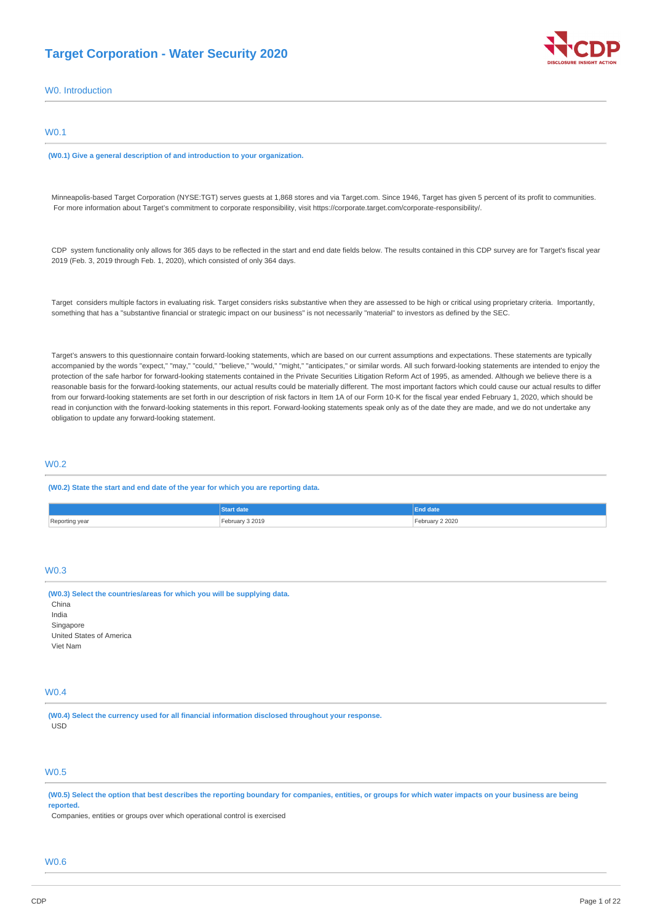## **Target Corporation - Water Security 2020**



# W0. Introduction **(W0.1) Give a general description of and introduction to your organization.**  Minneapolis-based Target Corporation (NYSE:TGT) serves guests at 1,868 stores and via [Target.com](http://Target.com). Since 1946, Target has given 5 percent of its profit to communities. For more information about Target's commitment to corporate responsibility, visit <https://corporate.target.com/corporate-responsibility/>. CDP system functionality only allows for 365 days to be reflected in the start and end date fields below. The results contained in this CDP survey are for Target's fiscal year 2019 (Feb. 3, 2019 through Feb. 1, 2020), which consisted of only 364 days. Target considers multiple factors in evaluating risk. Target considers risks substantive when they are assessed to be high or critical using proprietary criteria. Importantly, something that has a "substantive financial or strategic impact on our business" is not necessarily "material" to investors as defined by the SEC. Target's answers to this questionnaire contain forward-looking statements, which are based on our current assumptions and expectations. These statements are typically accompanied by the words "expect," "may," "could," "believe," "would," "might," "anticipates," or similar words. All such forward-looking statements are intended to enjoy the protection of the safe harbor for forward-looking statements contained in the Private Securities Litigation Reform Act of 1995, as amended. Although we believe there is a reasonable basis for the forward-looking statements, our actual results could be materially different. The most important factors which could cause our actual results to differ from our forward-looking statements are set forth in our description of risk factors in Item 1A of our Form 10-K for the fiscal year ended February 1, 2020, which should be read in conjunction with the forward-looking statements in this report. Forward-looking statements speak only as of the date they are made, and we do not undertake any obligation to update any forward-looking statement.

## W0.2

W0.1

#### **(W0.2) State the start and end date of the year for which you are reporting data.**

|                | date            |                          |
|----------------|-----------------|--------------------------|
| Reporting year | February 3 2019 | ebruary 2 2020<br>.<br>. |

## W0.3

| (W0.3) Select the countries/areas for which you will be supplying data.<br>China |  |
|----------------------------------------------------------------------------------|--|
| India                                                                            |  |
| Singapore                                                                        |  |
| United States of America                                                         |  |
| Viet Nam                                                                         |  |

## W0.4

**(W0.4) Select the currency used for all financial information disclosed throughout your response.**  USD

## W0.5

**(W0.5) Select the option that best describes the reporting boundary for companies, entities, or groups for which water impacts on your business are being reported.** 

Companies, entities or groups over which operational control is exercised

## $M<sub>0</sub>$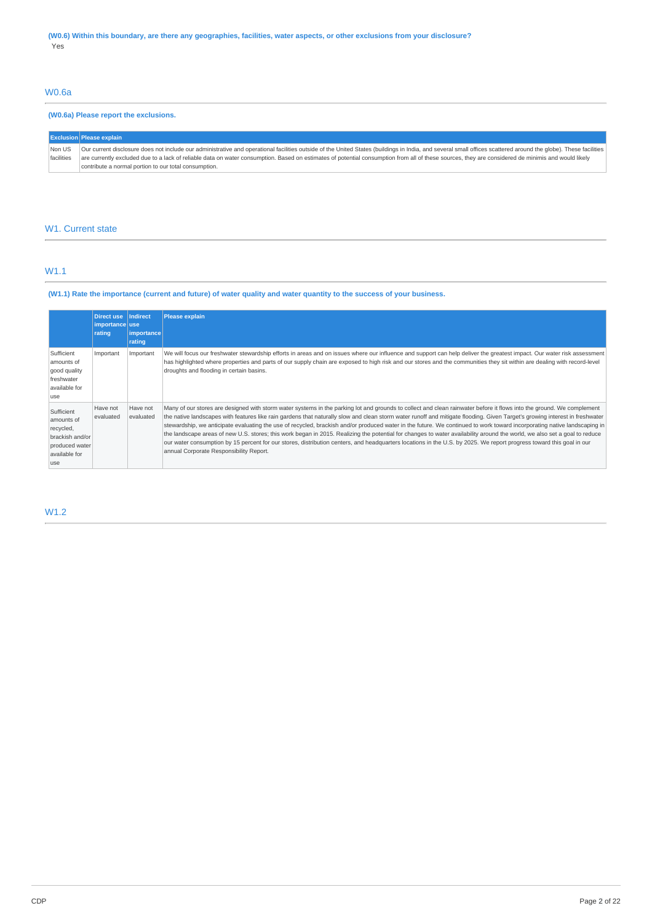## W0.6a

## **(W0.6a) Please report the exclusions.**

|                      | <b>Exclusion Please explain</b>                                                                                                                                                                                                                                                                                                                                                                                                                                                |
|----------------------|--------------------------------------------------------------------------------------------------------------------------------------------------------------------------------------------------------------------------------------------------------------------------------------------------------------------------------------------------------------------------------------------------------------------------------------------------------------------------------|
| Non US<br>facilities | Our current disclosure does not include our administrative and operational facilities outside of the United States (buildings in India, and several small offices scattered around the globe). These facilities<br>are currently excluded due to a lack of reliable data on water consumption. Based on estimates of potential consumption from all of these sources, they are considered de minimis and would likely<br>contribute a normal portion to our total consumption. |

## W1. Current state

## W1.1

## **(W1.1) Rate the importance (current and future) of water quality and water quantity to the success of your business.**

|                                                                                                     | <b>Direct use</b><br>importance use<br>rating | Indirect<br> importance <br>rating | <b>Please explain</b>                                                                                                                                                                                                                                                                                                                                                                                                                                                                                                                                                                                                                                                                                                                                                                                                                                                                                                            |
|-----------------------------------------------------------------------------------------------------|-----------------------------------------------|------------------------------------|----------------------------------------------------------------------------------------------------------------------------------------------------------------------------------------------------------------------------------------------------------------------------------------------------------------------------------------------------------------------------------------------------------------------------------------------------------------------------------------------------------------------------------------------------------------------------------------------------------------------------------------------------------------------------------------------------------------------------------------------------------------------------------------------------------------------------------------------------------------------------------------------------------------------------------|
| Sufficient<br>amounts of<br>good quality<br>freshwater<br>available for<br>luse                     | Important                                     | Important                          | We will focus our freshwater stewardship efforts in areas and on issues where our influence and support can help deliver the greatest impact. Our water risk assessment<br>has highlighted where properties and parts of our supply chain are exposed to high risk and our stores and the communities they sit within are dealing with record-level<br>droughts and flooding in certain basins.                                                                                                                                                                                                                                                                                                                                                                                                                                                                                                                                  |
| Sufficient<br>amounts of<br>recycled,<br>brackish and/or<br>produced water<br>available for<br>luse | Have not<br>evaluated                         | Have not<br>evaluated              | Many of our stores are designed with storm water systems in the parking lot and grounds to collect and clean rainwater before it flows into the ground. We complement<br>the native landscapes with features like rain gardens that naturally slow and clean storm water runoff and mitigate flooding. Given Target's growing interest in freshwater<br>stewardship, we anticipate evaluating the use of recycled, brackish and/or produced water in the future. We continued to work toward incorporating native landscaping in<br>the landscape areas of new U.S. stores; this work began in 2015. Realizing the potential for changes to water availability around the world, we also set a goal to reduce<br>our water consumption by 15 percent for our stores, distribution centers, and headquarters locations in the U.S. by 2025. We report progress toward this goal in our<br>annual Corporate Responsibility Report. |

## W1.2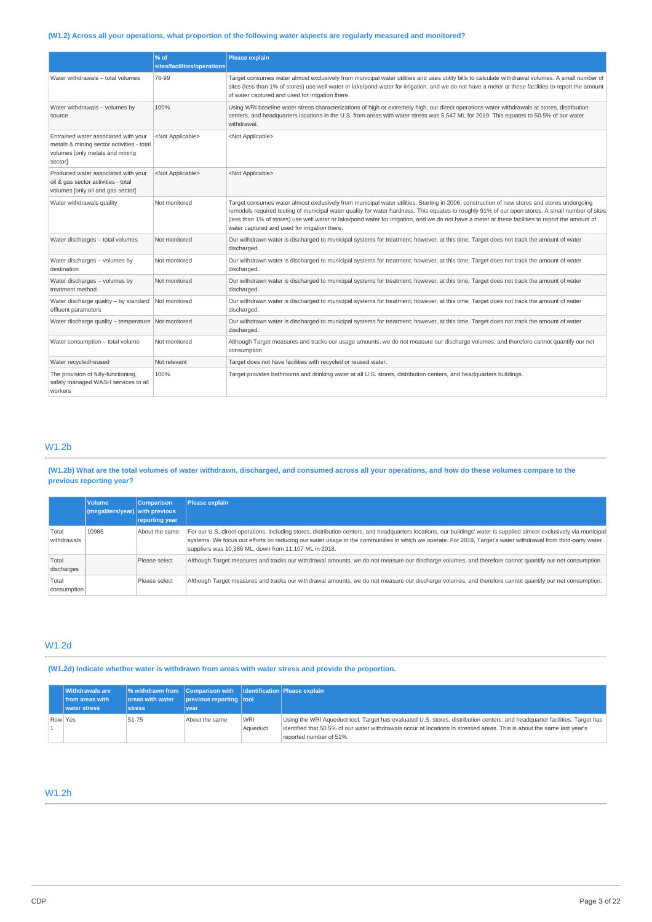## **(W1.2) Across all your operations, what proportion of the following water aspects are regularly measured and monitored?**

|                                                                                                                                 | % of<br>sites/facilities/operations | <b>Please explain</b>                                                                                                                                                                                                                                                                                                                                                                                                                                                                                 |  |
|---------------------------------------------------------------------------------------------------------------------------------|-------------------------------------|-------------------------------------------------------------------------------------------------------------------------------------------------------------------------------------------------------------------------------------------------------------------------------------------------------------------------------------------------------------------------------------------------------------------------------------------------------------------------------------------------------|--|
| Water withdrawals - total volumes                                                                                               | 76-99                               | Target consumes water almost exclusively from municipal water utilities and uses utility bills to calculate withdrawal volumes. A small number of<br>sites (less than 1% of stores) use well water or lake/pond water for irrigation, and we do not have a meter at these facilities to report the amount<br>of water captured and used for irrigation there.                                                                                                                                         |  |
| Water withdrawals - volumes by<br>source                                                                                        | 100%                                | Using WRI baseline water stress characterizations of high or extremely high, our direct operations water withdrawals at stores, distribution<br>centers, and headquarters locations in the U.S. from areas with water stress was 5,547 ML for 2019. This equates to 50.5% of our water<br>withdrawal.                                                                                                                                                                                                 |  |
| Entrained water associated with your<br>metals & mining sector activities - total<br>volumes [only metals and mining<br>sector] | <not applicable=""></not>           | <not applicable=""></not>                                                                                                                                                                                                                                                                                                                                                                                                                                                                             |  |
| Produced water associated with your<br>oil & gas sector activities - total<br>volumes [only oil and gas sector]                 | <not applicable=""></not>           | <not applicable=""></not>                                                                                                                                                                                                                                                                                                                                                                                                                                                                             |  |
| Water withdrawals quality                                                                                                       | Not monitored                       | Target consumes water almost exclusively from municipal water utilities. Starting in 2006, construction of new stores and stores undergoing<br>remodels required testing of municipal water quality for water hardness. This equates to roughly 91% of our open stores. A small number of sites<br>(less than 1% of stores) use well water or lake/pond water for irrigation, and we do not have a meter at these facilities to report the amount of<br>water captured and used for irrigation there. |  |
| Water discharges - total volumes                                                                                                | Not monitored                       | Our withdrawn water is discharged to municipal systems for treatment; however, at this time, Target does not track the amount of water<br>discharged.                                                                                                                                                                                                                                                                                                                                                 |  |
| Water discharges - volumes by<br>destination                                                                                    | Not monitored                       | Our withdrawn water is discharged to municipal systems for treatment; however, at this time, Target does not track the amount of water<br>discharged.                                                                                                                                                                                                                                                                                                                                                 |  |
| Water discharges - volumes by<br>treatment method                                                                               | Not monitored                       | Our withdrawn water is discharged to municipal systems for treatment; however, at this time, Target does not track the amount of water<br>discharged.                                                                                                                                                                                                                                                                                                                                                 |  |
| Water discharge quality - by standard<br>effluent parameters                                                                    | Not monitored                       | Our withdrawn water is discharged to municipal systems for treatment; however, at this time, Target does not track the amount of water<br>discharged.                                                                                                                                                                                                                                                                                                                                                 |  |
| Water discharge quality - temperature Not monitored                                                                             |                                     | Our withdrawn water is discharged to municipal systems for treatment; however, at this time, Target does not track the amount of water<br>discharged.                                                                                                                                                                                                                                                                                                                                                 |  |
| Water consumption - total volume                                                                                                | Not monitored                       | Although Target measures and tracks our usage amounts, we do not measure our discharge volumes, and therefore cannot quantify our net<br>consumption.                                                                                                                                                                                                                                                                                                                                                 |  |
| Water recycled/reused                                                                                                           | Not relevant                        | Target does not have facilities with recycled or reused water.                                                                                                                                                                                                                                                                                                                                                                                                                                        |  |
| The provision of fully-functioning,<br>safely managed WASH services to all<br>workers                                           | 100%                                | Target provides bathrooms and drinking water at all U.S. stores, distribution centers, and headquarters buildings.                                                                                                                                                                                                                                                                                                                                                                                    |  |

## W1.2b

## **(W1.2b) What are the total volumes of water withdrawn, discharged, and consumed across all your operations, and how do these volumes compare to the previous reporting year?**

|                      | <b>Volume</b><br>(megaliters/year) with previous | <b>Comparison</b><br>reporting year | <b>Please explain</b>                                                                                                                                                                                                                                                                                                                                                                          |
|----------------------|--------------------------------------------------|-------------------------------------|------------------------------------------------------------------------------------------------------------------------------------------------------------------------------------------------------------------------------------------------------------------------------------------------------------------------------------------------------------------------------------------------|
| Total<br>withdrawals | 10986                                            | About the same                      | For our U.S. direct operations, including stores, distribution centers, and headquarters locations, our buildings' water is supplied almost exclusively via municipal<br>systems. We focus our efforts on reducing our water usage in the communities in which we operate. For 2019, Target's water withdrawal from third-party water<br>suppliers was 10,986 ML, down from 11,107 ML in 2018. |
| Total<br>discharges  |                                                  | Please select                       | Although Target measures and tracks our withdrawal amounts, we do not measure our discharge volumes, and therefore cannot quantify our net consumption.                                                                                                                                                                                                                                        |
| Total<br>consumption |                                                  | Please select                       | Although Target measures and tracks our withdrawal amounts, we do not measure our discharge volumes, and therefore cannot quantify our net consumption.                                                                                                                                                                                                                                        |

## W1.2d

**(W1.2d) Indicate whether water is withdrawn from areas with water stress and provide the proportion.** 

| <b>Withdrawals are</b><br>from areas with<br>water stress | areas with water<br><b>stress</b> | $\frac{1}{2}$ withdrawn from Comparison with $\frac{1}{2}$ Identification Please explain<br>previous reporting tool<br>vear |                        |                                                                                                                                                                                                                                                                                   |
|-----------------------------------------------------------|-----------------------------------|-----------------------------------------------------------------------------------------------------------------------------|------------------------|-----------------------------------------------------------------------------------------------------------------------------------------------------------------------------------------------------------------------------------------------------------------------------------|
| Row Yes                                                   | 51-75                             | About the same                                                                                                              | <b>WRI</b><br>Aqueduct | Using the WRI Aqueduct tool, Target has evaluated U.S. stores, distribution centers, and headquarter facilities. Target has<br>identified that 50.5% of our water withdrawals occur at locations in stressed areas. This is about the same last vear's<br>reported number of 51%. |

## W1.2h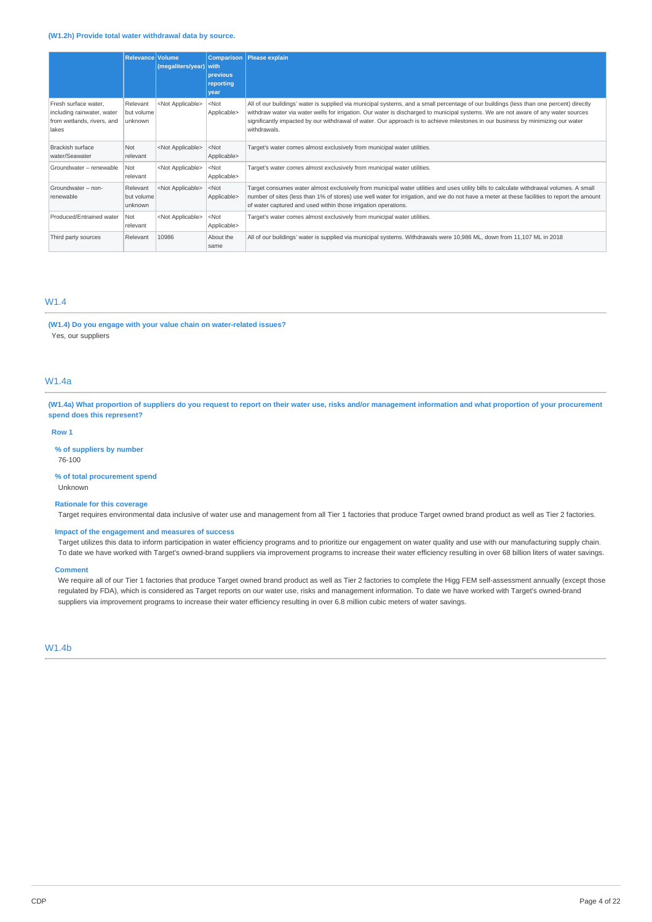## **(W1.2h) Provide total water withdrawal data by source.**

|                                                                                           | <b>Relevance Volume</b>           | (megaliters/year)         | <b>Comparison</b><br><b>with</b><br>previous<br>reporting<br>year | <b>Please explain</b>                                                                                                                                                                                                                                                                                                                                                                                                             |
|-------------------------------------------------------------------------------------------|-----------------------------------|---------------------------|-------------------------------------------------------------------|-----------------------------------------------------------------------------------------------------------------------------------------------------------------------------------------------------------------------------------------------------------------------------------------------------------------------------------------------------------------------------------------------------------------------------------|
| Fresh surface water.<br>including rainwater, water<br>from wetlands, rivers, and<br>lakes | Relevant<br>but volume<br>unknown | <not applicable=""></not> | $<$ Not<br>Applicable>                                            | All of our buildings' water is supplied via municipal systems, and a small percentage of our buildings (less than one percent) directly<br>withdraw water via water wells for irrigation. Our water is discharged to municipal systems. We are not aware of any water sources<br>significantly impacted by our withdrawal of water. Our approach is to achieve milestones in our business by minimizing our water<br>withdrawals. |
| Brackish surface<br>water/Seawater                                                        | Not<br>relevant                   | <not applicable=""></not> | $<$ Not<br>Applicable>                                            | Target's water comes almost exclusively from municipal water utilities.                                                                                                                                                                                                                                                                                                                                                           |
| Groundwater - renewable                                                                   | Not<br>relevant                   | <not applicable=""></not> | $<$ Not<br>Applicable>                                            | Target's water comes almost exclusively from municipal water utilities.                                                                                                                                                                                                                                                                                                                                                           |
| Groundwater - non-<br>renewable                                                           | Relevant<br>but volume<br>unknown | <not applicable=""></not> | $<$ Not<br>Applicable>                                            | Target consumes water almost exclusively from municipal water utilities and uses utility bills to calculate withdrawal volumes. A small<br>number of sites (less than 1% of stores) use well water for irrigation, and we do not have a meter at these facilities to report the amount<br>of water captured and used within those irrigation operations.                                                                          |
| Produced/Entrained water                                                                  | Not<br>relevant                   | <not applicable=""></not> | $<$ Not<br>Applicable>                                            | Target's water comes almost exclusively from municipal water utilities.                                                                                                                                                                                                                                                                                                                                                           |
| Third party sources                                                                       | Relevant                          | 10986                     | About the<br>same                                                 | All of our buildings' water is supplied via municipal systems. Withdrawals were 10,986 ML, down from 11,107 ML in 2018                                                                                                                                                                                                                                                                                                            |

## W1.4

**(W1.4) Do you engage with your value chain on water-related issues?**  Yes, our suppliers

## W1.4a

**(W1.4a) What proportion of suppliers do you request to report on their water use, risks and/or management information and what proportion of your procurement spend does this represent?** 

#### **Row 1**

**% of suppliers by number** 

76-100

**% of total procurement spend**  Unknown

#### **Rationale for this coverage**

Target requires environmental data inclusive of water use and management from all Tier 1 factories that produce Target owned brand product as well as Tier 2 factories.

## **Impact of the engagement and measures of success**

Target utilizes this data to inform participation in water efficiency programs and to prioritize our engagement on water quality and use with our manufacturing supply chain. To date we have worked with Target's owned-brand suppliers via improvement programs to increase their water efficiency resulting in over 68 billion liters of water savings.

#### **Comment**

We require all of our Tier 1 factories that produce Target owned brand product as well as Tier 2 factories to complete the Higg FEM self-assessment annually (except those regulated by FDA), which is considered as Target reports on our water use, risks and management information. To date we have worked with Target's owned-brand suppliers via improvement programs to increase their water efficiency resulting in over 6.8 million cubic meters of water savings.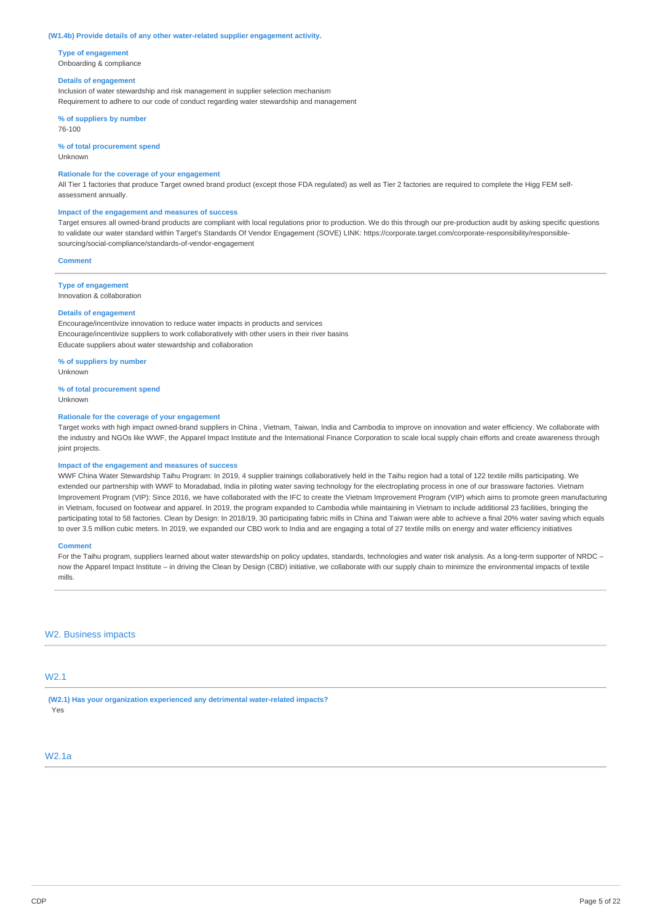#### **(W1.4b) Provide details of any other water-related supplier engagement activity.**

**Type of engagement**  Onboarding & compliance

#### **Details of engagement**

Inclusion of water stewardship and risk management in supplier selection mechanism Requirement to adhere to our code of conduct regarding water stewardship and management

**% of suppliers by number**  76-100

**% of total procurement spend** 

Unknown

#### **Rationale for the coverage of your engagement**

All Tier 1 factories that produce Target owned brand product (except those FDA regulated) as well as Tier 2 factories are required to complete the Higg FEM selfassessment annually.

#### **Impact of the engagement and measures of success**

Target ensures all owned-brand products are compliant with local regulations prior to production. We do this through our pre-production audit by asking specific questions [to validate our water standard within Target's Standards Of Vendor Engagement \(SOVE\) LINK: https://corporate.target.com/corporate-responsibility/responsible](https://corporate.target.com/corporate-responsibility/responsible-sourcing/social-compliance/standards-of-vendor-engagement)sourcing/social-compliance/standards-of-vendor-engagement

## **Comment**

**Type of engagement**  Innovation & collaboration

#### **Details of engagement**

Encourage/incentivize innovation to reduce water impacts in products and services Encourage/incentivize suppliers to work collaboratively with other users in their river basins Educate suppliers about water stewardship and collaboration

**% of suppliers by number**  Unknown

**% of total procurement spend**  Unknown

#### **Rationale for the coverage of your engagement**

Target works with high impact owned-brand suppliers in China , Vietnam, Taiwan, India and Cambodia to improve on innovation and water efficiency. We collaborate with the industry and NGOs like WWF, the Apparel Impact Institute and the International Finance Corporation to scale local supply chain efforts and create awareness through joint projects.

#### **Impact of the engagement and measures of success**

WWF China Water Stewardship Taihu Program: In 2019, 4 supplier trainings collaboratively held in the Taihu region had a total of 122 textile mills participating. We extended our partnership with WWF to Moradabad, India in piloting water saving technology for the electroplating process in one of our brassware factories. Vietnam Improvement Program (VIP): Since 2016, we have collaborated with the IFC to create the Vietnam Improvement Program (VIP) which aims to promote green manufacturing in Vietnam, focused on footwear and apparel. In 2019, the program expanded to Cambodia while maintaining in Vietnam to include additional 23 facilities, bringing the participating total to 58 factories. Clean by Design: In 2018/19, 30 participating fabric mills in China and Taiwan were able to achieve a final 20% water saving which equals to over 3.5 million cubic meters. In 2019, we expanded our CBD work to India and are engaging a total of 27 textile mills on energy and water efficiency initiatives

#### **Comment**

For the Taihu program, suppliers learned about water stewardship on policy updates, standards, technologies and water risk analysis. As a long-term supporter of NRDC now the Apparel Impact Institute – in driving the Clean by Design (CBD) initiative, we collaborate with our supply chain to minimize the environmental impacts of textile mills.

#### W2. Business impacts

## W2.1

**(W2.1) Has your organization experienced any detrimental water-related impacts?**  Yes

## W2.1a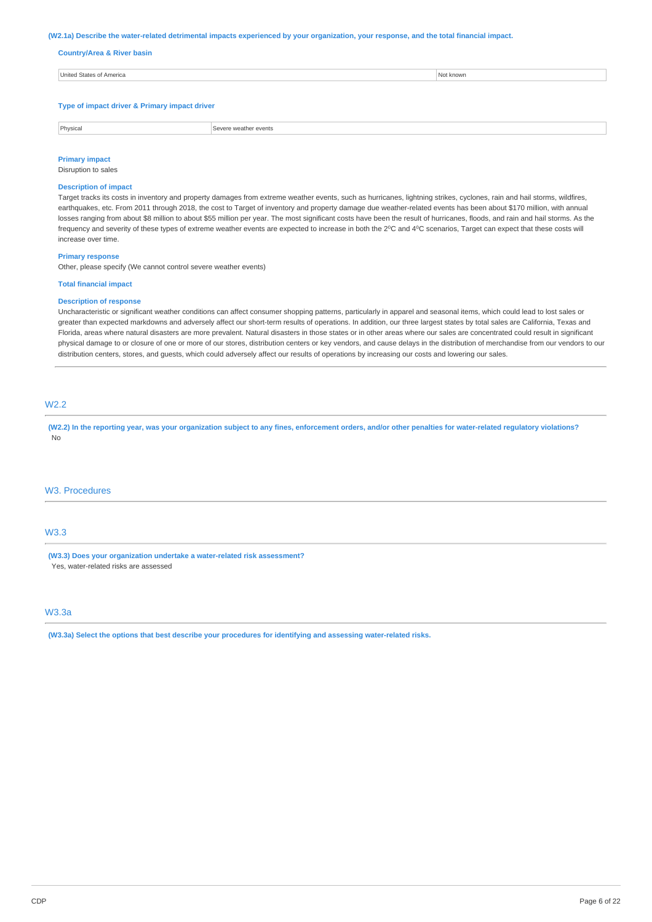#### **(W2.1a) Describe the water-related detrimental impacts experienced by your organization, your response, and the total financial impact.**

#### **Country/Area & River basin**

| . דוריו |  |
|---------|--|
|         |  |
|         |  |

**Type of impact driver & Primary impact driver** 

Physical **Severe weather events** 

## **Primary impact**

## Disruption to sales

## **Description of impact**

Target tracks its costs in inventory and property damages from extreme weather events, such as hurricanes, lightning strikes, cyclones, rain and hail storms, wildfires, earthquakes, etc. From 2011 through 2018, the cost to Target of inventory and property damage due weather-related events has been about \$170 million, with annual losses ranging from about \$8 million to about \$55 million per year. The most significant costs have been the result of hurricanes, floods, and rain and hail storms. As the frequency and severity of these types of extreme weather events are expected to increase in both the 2°C and 4°C scenarios, Target can expect that these costs will increase over time.

#### **Primary response**

Other, please specify (We cannot control severe weather events)

#### **Total financial impact**

#### **Description of response**

Uncharacteristic or significant weather conditions can affect consumer shopping patterns, particularly in apparel and seasonal items, which could lead to lost sales or greater than expected markdowns and adversely affect our short-term results of operations. In addition, our three largest states by total sales are California, Texas and Florida, areas where natural disasters are more prevalent. Natural disasters in those states or in other areas where our sales are concentrated could result in significant physical damage to or closure of one or more of our stores, distribution centers or key vendors, and cause delays in the distribution of merchandise from our vendors to our distribution centers, stores, and guests, which could adversely affect our results of operations by increasing our costs and lowering our sales.

## W2.2

**(W2.2) In the reporting year, was your organization subject to any fines, enforcement orders, and/or other penalties for water-related regulatory violations?**  No

## W3. Procedures

## W3.3

**(W3.3) Does your organization undertake a water-related risk assessment?**  Yes, water-related risks are assessed

## W3.3a

**(W3.3a) Select the options that best describe your procedures for identifying and assessing water-related risks.**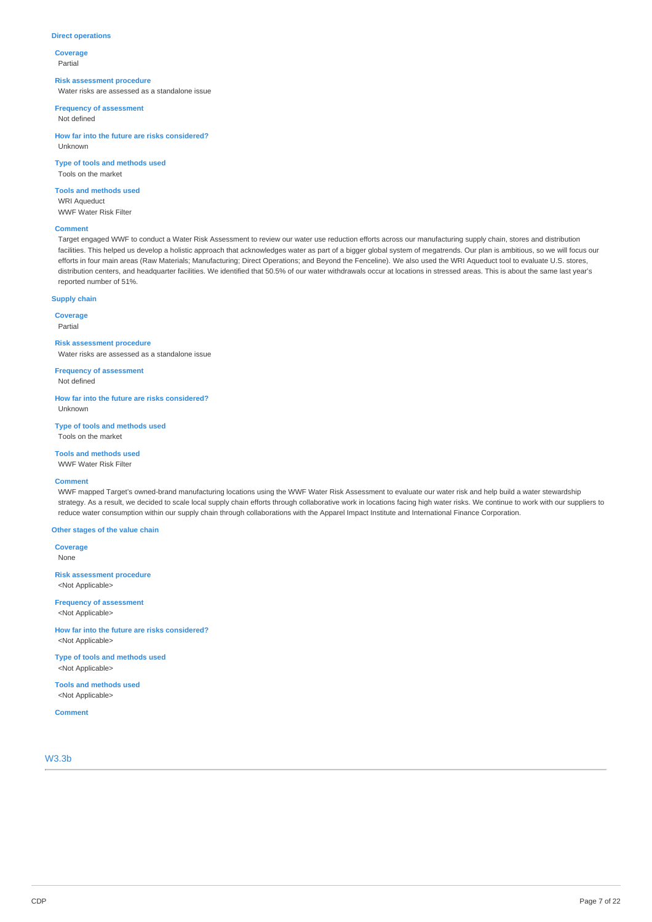## **Direct operations**

**Coverage**  Partial

#### **Risk assessment procedure**

Water risks are assessed as a standalone issue

**Frequency of assessment** 

Not defined

**How far into the future are risks considered?**  Unknown

**Type of tools and methods used**  Tools on the market

**Tools and methods used**  WRI Aqueduct WWF Water Risk Filter

#### **Comment**

Target engaged WWF to conduct a Water Risk Assessment to review our water use reduction efforts across our manufacturing supply chain, stores and distribution facilities. This helped us develop a holistic approach that acknowledges water as part of a bigger global system of megatrends. Our plan is ambitious, so we will focus our efforts in four main areas (Raw Materials; Manufacturing; Direct Operations; and Beyond the Fenceline). We also used the WRI Aqueduct tool to evaluate U.S. stores, distribution centers, and headquarter facilities. We identified that 50.5% of our water withdrawals occur at locations in stressed areas. This is about the same last year's reported number of 51%.

## **Supply chain**

**Coverage** 

Partial

**Risk assessment procedure** 

Water risks are assessed as a standalone issue

**Frequency of assessment**  Not defined

**How far into the future are risks considered?**  Unknown

**Type of tools and methods used**  Tools on the market

## **Tools and methods used**

WWF Water Risk Filter

#### **Comment**

WWF mapped Target's owned-brand manufacturing locations using the WWF Water Risk Assessment to evaluate our water risk and help build a water stewardship strategy. As a result, we decided to scale local supply chain efforts through collaborative work in locations facing high water risks. We continue to work with our suppliers to reduce water consumption within our supply chain through collaborations with the Apparel Impact Institute and International Finance Corporation.

#### **Other stages of the value chain**

**Coverage**  None

**Risk assessment procedure**  <Not Applicable>

**Frequency of assessment**  <Not Applicable>

**How far into the future are risks considered?**  <Not Applicable>

**Type of tools and methods used**  <Not Applicable>

**Tools and methods used**  <Not Applicable>

**Comment** 

W3.3b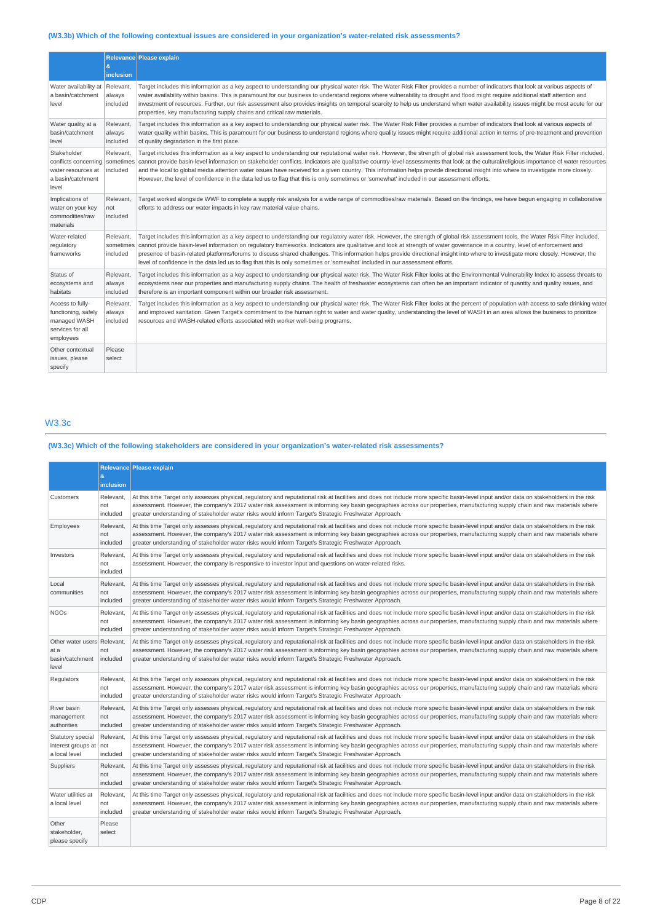## **(W3.3b) Which of the following contextual issues are considered in your organization's water-related risk assessments?**

|                                                                                          | &<br><b>inclusion</b>              | Relevance Please explain                                                                                                                                                                                                                                                                                                                                                                                                                                                                                                                                                                                                                                                                                                      |
|------------------------------------------------------------------------------------------|------------------------------------|-------------------------------------------------------------------------------------------------------------------------------------------------------------------------------------------------------------------------------------------------------------------------------------------------------------------------------------------------------------------------------------------------------------------------------------------------------------------------------------------------------------------------------------------------------------------------------------------------------------------------------------------------------------------------------------------------------------------------------|
| Water availability at<br>a basin/catchment<br>level                                      | Relevant,<br>always<br>included    | Target includes this information as a key aspect to understanding our physical water risk. The Water Risk Filter provides a number of indicators that look at various aspects of<br>water availability within basins. This is paramount for our business to understand regions where vulnerability to drought and flood might require additional staff attention and<br>investment of resources. Further, our risk assessment also provides insights on temporal scarcity to help us understand when water availability issues might be most acute for our<br>properties, key manufacturing supply chains and critical raw materials.                                                                                         |
| Water quality at a<br>basin/catchment<br>level                                           | Relevant.<br>always<br>included    | Target includes this information as a key aspect to understanding our physical water risk. The Water Risk Filter provides a number of indicators that look at various aspects of<br>water quality within basins. This is paramount for our business to understand regions where quality issues might require additional action in terms of pre-treatment and prevention<br>of quality degradation in the first place.                                                                                                                                                                                                                                                                                                         |
| Stakeholder<br>conflicts concerning<br>water resources at<br>a basin/catchment<br>level  | Relevant,<br>included              | Target includes this information as a key aspect to understanding our reputational water risk. However, the strength of global risk assessment tools, the Water Risk Filter included,<br>sometimes cannot provide basin-level information on stakeholder conflicts. Indicators are qualitative country-level assessments that look at the cultural/religious importance of water resources<br>and the local to global media attention water issues have received for a given country. This information helps provide directional insight into where to investigate more closely.<br>However, the level of confidence in the data led us to flag that this is only sometimes or 'somewhat' included in our assessment efforts. |
| Implications of<br>water on your key<br>commodities/raw<br>materials                     | Relevant,<br>not<br>included       | Target worked alongside WWF to complete a supply risk analysis for a wide range of commodities/raw materials. Based on the findings, we have begun engaging in collaborative<br>efforts to address our water impacts in key raw material value chains.                                                                                                                                                                                                                                                                                                                                                                                                                                                                        |
| Water-related<br>regulatory<br>frameworks                                                | Relevant,<br>sometimes<br>included | Target includes this information as a key aspect to understanding our regulatory water risk. However, the strength of global risk assessment tools, the Water Risk Filter included,<br>cannot provide basin-level information on regulatory frameworks. Indicators are qualitative and look at strength of water governance in a country, level of enforcement and<br>presence of basin-related platforms/forums to discuss shared challenges. This information helps provide directional insight into where to investigate more closely. However, the<br>level of confidence in the data led us to flag that this is only sometimes or 'somewhat' included in our assessment efforts.                                        |
| Status of<br>ecosystems and<br>habitats                                                  | Relevant.<br>always<br>included    | Target includes this information as a key aspect to understanding our physical water risk. The Water Risk Filter looks at the Environmental Vulnerability Index to assess threats to<br>ecosystems near our properties and manufacturing supply chains. The health of freshwater ecosystems can often be an important indicator of quantity and quality issues, and<br>therefore is an important component within our broader risk assessment.                                                                                                                                                                                                                                                                                |
| Access to fully-<br>functioning, safely<br>managed WASH<br>services for all<br>employees | Relevant.<br>always<br>included    | Target includes this information as a key aspect to understanding our physical water risk. The Water Risk Filter looks at the percent of population with access to safe drinking water<br>and improved sanitation. Given Target's commitment to the human right to water and water quality, understanding the level of WASH in an area allows the business to prioritize<br>resources and WASH-related efforts associated with worker well-being programs.                                                                                                                                                                                                                                                                    |
| Other contextual<br>issues, please<br>specify                                            | Please<br>select                   |                                                                                                                                                                                                                                                                                                                                                                                                                                                                                                                                                                                                                                                                                                                               |

## W3.3c

## **(W3.3c) Which of the following stakeholders are considered in your organization's water-related risk assessments?**

|                                                                 | $\boldsymbol{\alpha}$<br>inclusion | Relevance Please explain                                                                                                                                                                                                                                                                                                                                                                                                                                                       |
|-----------------------------------------------------------------|------------------------------------|--------------------------------------------------------------------------------------------------------------------------------------------------------------------------------------------------------------------------------------------------------------------------------------------------------------------------------------------------------------------------------------------------------------------------------------------------------------------------------|
| Customers                                                       | Relevant<br>not<br>included        | At this time Target only assesses physical, regulatory and reputational risk at facilities and does not include more specific basin-level input and/or data on stakeholders in the risk<br>assessment. However, the company's 2017 water risk assessment is informing key basin geographies across our properties, manufacturing supply chain and raw materials where<br>greater understanding of stakeholder water risks would inform Target's Strategic Freshwater Approach. |
| Employees                                                       | Relevant,<br>not<br>included       | At this time Target only assesses physical, regulatory and reputational risk at facilities and does not include more specific basin-level input and/or data on stakeholders in the risk<br>assessment. However, the company's 2017 water risk assessment is informing key basin geographies across our properties, manufacturing supply chain and raw materials where<br>greater understanding of stakeholder water risks would inform Target's Strategic Freshwater Approach. |
| Investors                                                       | Relevant.<br>not<br>included       | At this time Target only assesses physical, regulatory and reputational risk at facilities and does not include more specific basin-level input and/or data on stakeholders in the risk<br>assessment. However, the company is responsive to investor input and questions on water-related risks.                                                                                                                                                                              |
| Local<br>communities                                            | Relevant.<br>not<br>included       | At this time Target only assesses physical, regulatory and reputational risk at facilities and does not include more specific basin-level input and/or data on stakeholders in the risk<br>assessment. However, the company's 2017 water risk assessment is informing key basin geographies across our properties, manufacturing supply chain and raw materials where<br>greater understanding of stakeholder water risks would inform Target's Strategic Freshwater Approach. |
| <b>NGOs</b>                                                     | Relevant,<br>not<br>included       | At this time Target only assesses physical, regulatory and reputational risk at facilities and does not include more specific basin-level input and/or data on stakeholders in the risk<br>assessment. However, the company's 2017 water risk assessment is informing key basin geographies across our properties, manufacturing supply chain and raw materials where<br>greater understanding of stakeholder water risks would inform Target's Strategic Freshwater Approach. |
| Other water users Relevant,<br>at a<br>basin/catchment<br>level | not<br>included                    | At this time Target only assesses physical, requlatory and reputational risk at facilities and does not include more specific basin-level input and/or data on stakeholders in the risk<br>assessment. However, the company's 2017 water risk assessment is informing key basin geographies across our properties, manufacturing supply chain and raw materials where<br>greater understanding of stakeholder water risks would inform Target's Strategic Freshwater Approach. |
| Regulators                                                      | Relevant.<br>not<br>included       | At this time Target only assesses physical, regulatory and reputational risk at facilities and does not include more specific basin-level input and/or data on stakeholders in the risk<br>assessment. However, the company's 2017 water risk assessment is informing key basin geographies across our properties, manufacturing supply chain and raw materials where<br>greater understanding of stakeholder water risks would inform Target's Strategic Freshwater Approach. |
| River basin<br>management<br>authorities                        | Relevant.<br>not<br>included       | At this time Target only assesses physical, regulatory and reputational risk at facilities and does not include more specific basin-level input and/or data on stakeholders in the risk<br>assessment. However, the company's 2017 water risk assessment is informing key basin geographies across our properties, manufacturing supply chain and raw materials where<br>greater understanding of stakeholder water risks would inform Target's Strategic Freshwater Approach. |
| Statutory special<br>interest groups at not<br>a local level    | Relevant<br>included               | At this time Target only assesses physical, regulatory and reputational risk at facilities and does not include more specific basin-level input and/or data on stakeholders in the risk<br>assessment. However, the company's 2017 water risk assessment is informing key basin geographies across our properties, manufacturing supply chain and raw materials where<br>greater understanding of stakeholder water risks would inform Target's Strategic Freshwater Approach. |
| Suppliers                                                       | Relevant.<br>not<br>included       | At this time Target only assesses physical, regulatory and reputational risk at facilities and does not include more specific basin-level input and/or data on stakeholders in the risk<br>assessment. However, the company's 2017 water risk assessment is informing key basin geographies across our properties, manufacturing supply chain and raw materials where<br>greater understanding of stakeholder water risks would inform Target's Strategic Freshwater Approach. |
| Water utilities at<br>a local level                             | Relevant.<br>not<br>included       | At this time Target only assesses physical, regulatory and reputational risk at facilities and does not include more specific basin-level input and/or data on stakeholders in the risk<br>assessment. However, the company's 2017 water risk assessment is informing key basin geographies across our properties, manufacturing supply chain and raw materials where<br>greater understanding of stakeholder water risks would inform Target's Strategic Freshwater Approach. |
| Other<br>stakeholder,<br>please specify                         | Please<br>select                   |                                                                                                                                                                                                                                                                                                                                                                                                                                                                                |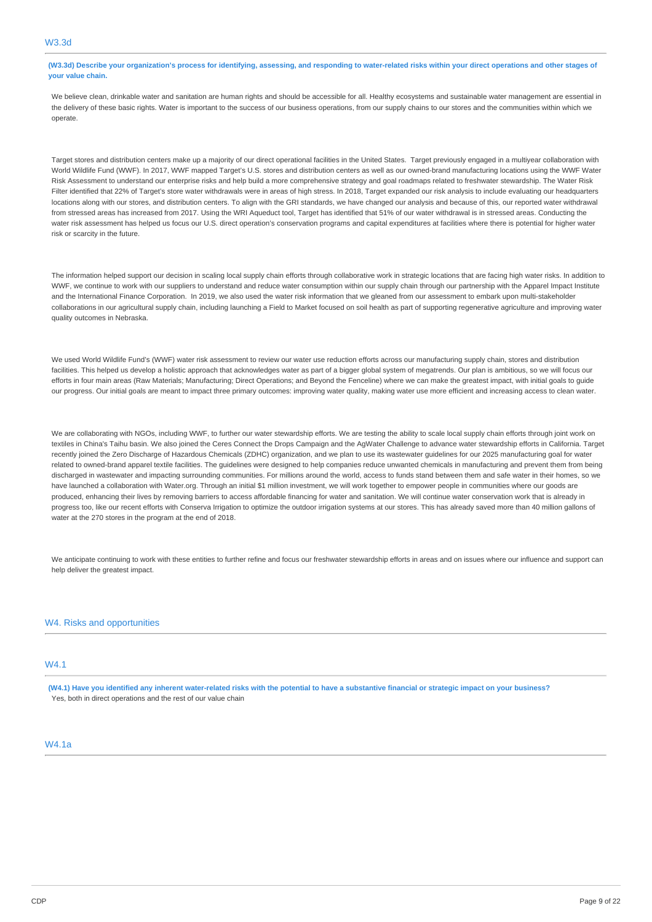## **(W3.3d) Describe your organization's process for identifying, assessing, and responding to water-related risks within your direct operations and other stages of your value chain.**

We believe clean, drinkable water and sanitation are human rights and should be accessible for all. Healthy ecosystems and sustainable water management are essential in the delivery of these basic rights. Water is important to the success of our business operations, from our supply chains to our stores and the communities within which we operate

Target stores and distribution centers make up a majority of our direct operational facilities in the United States. Target previously engaged in a multiyear collaboration with World Wildlife Fund (WWF). In 2017, WWF mapped Target's U.S. stores and distribution centers as well as our owned-brand manufacturing locations using the WWF Water Risk Assessment to understand our enterprise risks and help build a more comprehensive strategy and goal roadmaps related to freshwater stewardship. The Water Risk Filter identified that 22% of Target's store water withdrawals were in areas of high stress. In 2018, Target expanded our risk analysis to include evaluating our headquarters locations along with our stores, and distribution centers. To align with the GRI standards, we have changed our analysis and because of this, our reported water withdrawal from stressed areas has increased from 2017. Using the WRI Aqueduct tool, Target has identified that 51% of our water withdrawal is in stressed areas. Conducting the water risk assessment has helped us focus our U.S. direct operation's conservation programs and capital expenditures at facilities where there is potential for higher water risk or scarcity in the future.

The information helped support our decision in scaling local supply chain efforts through collaborative work in strategic locations that are facing high water risks. In addition to WWF, we continue to work with our suppliers to understand and reduce water consumption within our supply chain through our partnership with the Apparel Impact Institute and the International Finance Corporation. In 2019, we also used the water risk information that we gleaned from our assessment to embark upon multi-stakeholder collaborations in our agricultural supply chain, including launching a Field to Market focused on soil health as part of supporting regenerative agriculture and improving water quality outcomes in Nebraska.

We used World Wildlife Fund's (WWF) water risk assessment to review our water use reduction efforts across our manufacturing supply chain, stores and distribution facilities. This helped us develop a holistic approach that acknowledges water as part of a bigger global system of megatrends. Our plan is ambitious, so we will focus our efforts in four main areas (Raw Materials; Manufacturing; Direct Operations; and Beyond the Fenceline) where we can make the greatest impact, with initial goals to guide our progress. Our initial goals are meant to impact three primary outcomes: improving water quality, making water use more efficient and increasing access to clean water.

We are collaborating with NGOs, including WWF, to further our water stewardship efforts. We are testing the ability to scale local supply chain efforts through joint work on textiles in China's Taihu basin. We also joined the Ceres Connect the Drops Campaign and the AgWater Challenge to advance water stewardship efforts in California. Target recently joined the Zero Discharge of Hazardous Chemicals (ZDHC) organization, and we plan to use its wastewater guidelines for our 2025 manufacturing goal for water related to owned-brand apparel textile facilities. The guidelines were designed to help companies reduce unwanted chemicals in manufacturing and prevent them from being discharged in wastewater and impacting surrounding communities. For millions around the world, access to funds stand between them and safe water in their homes, so we have launched a collaboration with [Water.org](http://Water.org). Through an initial \$1 million investment, we will work together to empower people in communities where our goods are produced, enhancing their lives by removing barriers to access affordable financing for water and sanitation. We will continue water conservation work that is already in progress too, like our recent efforts with Conserva Irrigation to optimize the outdoor irrigation systems at our stores. This has already saved more than 40 million gallons of water at the 270 stores in the program at the end of 2018.

We anticipate continuing to work with these entities to further refine and focus our freshwater stewardship efforts in areas and on issues where our influence and support can help deliver the greatest impact.

## W4. Risks and opportunities

## W4.1

**(W4.1) Have you identified any inherent water-related risks with the potential to have a substantive financial or strategic impact on your business?**  Yes, both in direct operations and the rest of our value chain

## W4.1a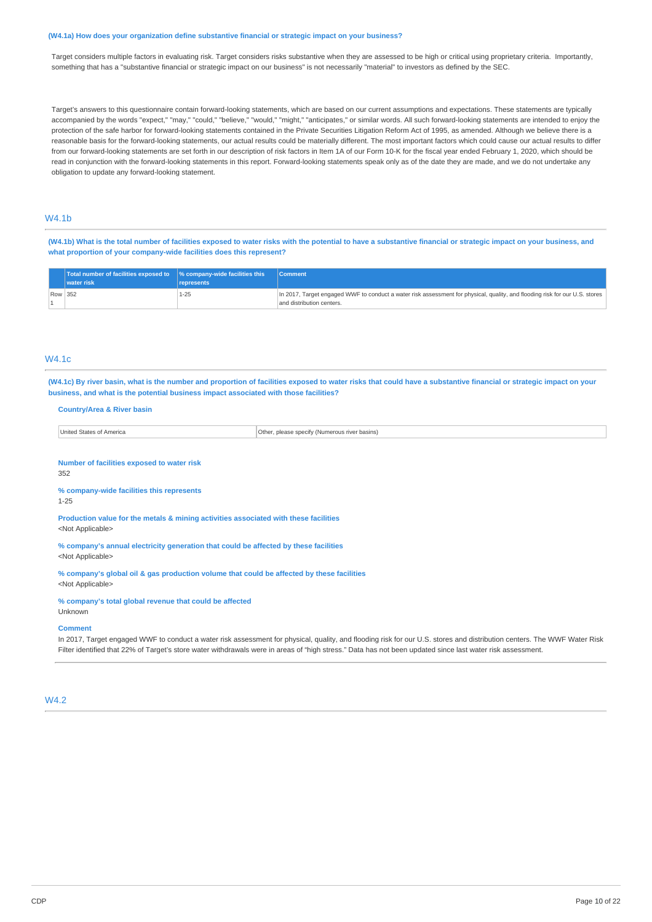#### **(W4.1a) How does your organization define substantive financial or strategic impact on your business?**

Target considers multiple factors in evaluating risk. Target considers risks substantive when they are assessed to be high or critical using proprietary criteria. Importantly, something that has a "substantive financial or strategic impact on our business" is not necessarily "material" to investors as defined by the SEC.

Target's answers to this questionnaire contain forward-looking statements, which are based on our current assumptions and expectations. These statements are typically accompanied by the words "expect," "may," "could," "believe," "would," "might," "anticipates," or similar words. All such forward-looking statements are intended to enjoy the protection of the safe harbor for forward-looking statements contained in the Private Securities Litigation Reform Act of 1995, as amended. Although we believe there is a reasonable basis for the forward-looking statements, our actual results could be materially different. The most important factors which could cause our actual results to differ from our forward-looking statements are set forth in our description of risk factors in Item 1A of our Form 10-K for the fiscal year ended February 1, 2020, which should be read in conjunction with the forward-looking statements in this report. Forward-looking statements speak only as of the date they are made, and we do not undertake any obligation to update any forward-looking statement.

## W4.1b

**(W4.1b) What is the total number of facilities exposed to water risks with the potential to have a substantive financial or strategic impact on your business, and what proportion of your company-wide facilities does this represent?** 

|         | Total number of facilities exposed to 9% company-wide facilities this<br>vater risk | represents | <b>Comment</b>                                                                                                                                           |
|---------|-------------------------------------------------------------------------------------|------------|----------------------------------------------------------------------------------------------------------------------------------------------------------|
| Row 352 |                                                                                     | 1-25       | In 2017, Target engaged WWF to conduct a water risk assessment for physical, quality, and flooding risk for our U.S. stores<br>and distribution centers. |

## W4.1c

**(W4.1c) By river basin, what is the number and proportion of facilities exposed to water risks that could have a substantive financial or strategic impact on your business, and what is the potential business impact associated with those facilities?** 

#### **Country/Area & River basin**

| $n =$      | Other           |
|------------|-----------------|
| Jnife      | s river basins) |
| - 01 A.C   | niease snecr    |
| יומוכ      | (Numerou        |
| 1.77111.77 | . HIV           |

**Number of facilities exposed to water risk**  352

#### **% company-wide facilities this represents**

1-25

**Production value for the metals & mining activities associated with these facilities**  <Not Applicable>

**% company's annual electricity generation that could be affected by these facilities**  <Not Applicable>

**% company's global oil & gas production volume that could be affected by these facilities**  <Not Applicable>

**% company's total global revenue that could be affected** 

Unknown

**Comment** 

In 2017, Target engaged WWF to conduct a water risk assessment for physical, quality, and flooding risk for our U.S. stores and distribution centers. The WWF Water Risk Filter identified that 22% of Target's store water withdrawals were in areas of "high stress." Data has not been updated since last water risk assessment.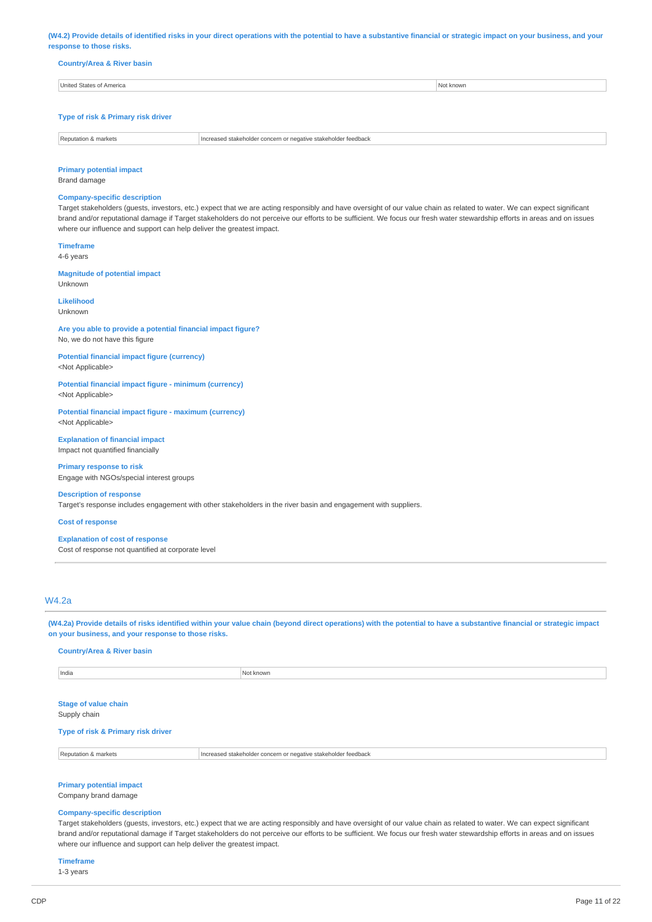**(W4.2) Provide details of identified risks in your direct operations with the potential to have a substantive financial or strategic impact on your business, and your response to those risks.** 

| <b>Country/Area &amp; River basin</b> |  |  |
|---------------------------------------|--|--|

| United States of America | lot known |
|--------------------------|-----------|
|                          |           |

## **Type of risk & Primary risk driver**

| ำedhac… |
|---------|
|         |

## **Primary potential impact**

Brand damage

## **Company-specific description**

Target stakeholders (guests, investors, etc.) expect that we are acting responsibly and have oversight of our value chain as related to water. We can expect significant brand and/or reputational damage if Target stakeholders do not perceive our efforts to be sufficient. We focus our fresh water stewardship efforts in areas and on issues where our influence and support can help deliver the greatest impact.

**Timeframe**  4-6 years

Unknown

**Magnitude of potential impact** 

**Likelihood**  Unknown

**Are you able to provide a potential financial impact figure?**  No, we do not have this figure

**Potential financial impact figure (currency)**  <Not Applicable>

**Potential financial impact figure - minimum (currency)**  <Not Applicable>

**Potential financial impact figure - maximum (currency)**  <Not Applicable>

**Explanation of financial impact**  Impact not quantified financially

**Primary response to risk**  Engage with NGOs/special interest groups

**Description of response**  Target's response includes engagement with other stakeholders in the river basin and engagement with suppliers.

**Cost of response** 

#### **Explanation of cost of response**

Cost of response not quantified at corporate level

## W4.2a

**(W4.2a) Provide details of risks identified within your value chain (beyond direct operations) with the potential to have a substantive financial or strategic impact on your business, and your response to those risks.** 

**Country/Area & River basin** 

| India | া known |
|-------|---------|
|       |         |

**Stage of value chain** 

Supply chain

**Type of risk & Primary risk driver** 

Reputation & markets **Increased stakeholder concern or negative stakeholder feedback** 

**Primary potential impact** 

Company brand damage

## **Company-specific description**

Target stakeholders (guests, investors, etc.) expect that we are acting responsibly and have oversight of our value chain as related to water. We can expect significant brand and/or reputational damage if Target stakeholders do not perceive our efforts to be sufficient. We focus our fresh water stewardship efforts in areas and on issues where our influence and support can help deliver the greatest impact.

**Timeframe** 

1-3 years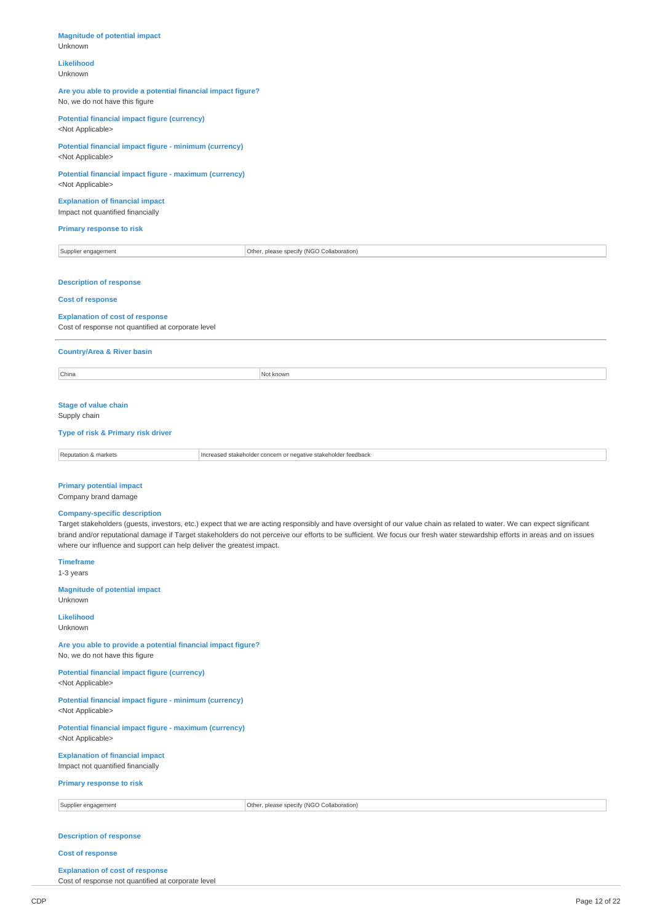## **Magnitude of potential impact**  Unknown **Likelihood**  Unknown **Are you able to provide a potential financial impact figure?**  No, we do not have this figure **Potential financial impact figure (currency)**  <Not Applicable> **Potential financial impact figure - minimum (currency)**  <Not Applicable> **Potential financial impact figure - maximum (currency)**  <Not Applicable> **Explanation of financial impact**  Impact not quantified financially **Primary response to risk**  Supplier engagement **Collaboration** Other, please specify (NGO Collaboration) **Description of response Cost of response Explanation of cost of response**  Cost of response not quantified at corporate level **Country/Area & River basin**  China Not known and the contract of the contract of the contract of the contract of the contract of the contract of the contract of the contract of the contract of the contract of the contract of the contract of the contra **Stage of value chain**  Supply chain **Type of risk & Primary risk driver**  Reputation & markets **Increased stakeholder concern or negative stakeholder feedback Primary potential impact**  Company brand damage **Company-specific description**  Target stakeholders (guests, investors, etc.) expect that we are acting responsibly and have oversight of our value chain as related to water. We can expect significant brand and/or reputational damage if Target stakeholders do not perceive our efforts to be sufficient. We focus our fresh water stewardship efforts in areas and on issues where our influence and support can help deliver the greatest impact. **Timeframe**  1-3 years **Magnitude of potential impact**  Unknown **Likelihood**  Unknown **Are you able to provide a potential financial impact figure?**  No, we do not have this figure **Potential financial impact figure (currency)**  <Not Applicable> **Potential financial impact figure - minimum (currency)**  <Not Applicable> **Potential financial impact figure - maximum (currency)**  <Not Applicable> **Explanation of financial impact**  Impact not quantified financially **Primary response to risk**  Supplier engagement **Collaboration** Computer of Other, please specify (NGO Collaboration)

## **Description of response**

#### **Cost of response**

## **Explanation of cost of response**

Cost of response not quantified at corporate level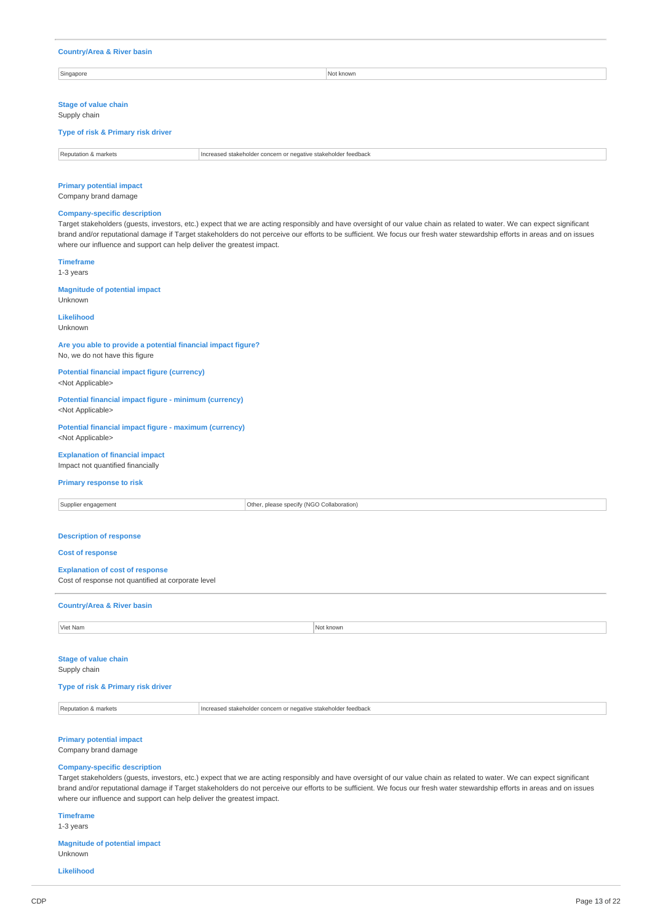#### **Country/Area & River basin**

Singapore Not known and the set of the set of the set of the set of the set of the set of the set of the set of the set of the set of the set of the set of the set of the set of the set of the set of the set of the set of

#### **Stage of value chain**

Supply chain

#### **Type of risk & Primary risk driver**

| Renutatio<br>markets | Hncreased stakeholder<br>eedback<br>koholdor for<br>$\sim$<br>.<br>いいへいへ<br>' ner<br>---- |
|----------------------|-------------------------------------------------------------------------------------------|

#### **Primary potential impact**

Company brand damage

#### **Company-specific description**

Target stakeholders (guests, investors, etc.) expect that we are acting responsibly and have oversight of our value chain as related to water. We can expect significant brand and/or reputational damage if Target stakeholders do not perceive our efforts to be sufficient. We focus our fresh water stewardship efforts in areas and on issues where our influence and support can help deliver the greatest impact.

#### **Timeframe**

1-3 years

## **Magnitude of potential impact**

Unknown

## **Likelihood**

Unknown

## **Are you able to provide a potential financial impact figure?**  No, we do not have this figure

**Potential financial impact figure (currency)**  <Not Applicable>

#### **Potential financial impact figure - minimum (currency)**  <Not Applicable>

**Potential financial impact figure - maximum (currency)**  <Not Applicable>

## **Explanation of financial impact**

Impact not quantified financially

## **Primary response to risk**

Supplier engagement **Collaboration** Collaboration Collaboration Collaboration Collaboration **Description of response Cost of response Explanation of cost of response**  Cost of response not quantified at corporate level **Country/Area & River basin Viet Nam Not known** 

### **Stage of value chain**  Supply chain

#### **Type of risk & Primary risk driver**

Reputation & markets **Increased stakeholder concern or negative stakeholder feedback** 

## **Primary potential impact**

Company brand damage

## **Company-specific description**

Target stakeholders (guests, investors, etc.) expect that we are acting responsibly and have oversight of our value chain as related to water. We can expect significant brand and/or reputational damage if Target stakeholders do not perceive our efforts to be sufficient. We focus our fresh water stewardship efforts in areas and on issues where our influence and support can help deliver the greatest impact.

## **Timeframe**

1-3 years

**Magnitude of potential impact**  Unknown

**Likelihood**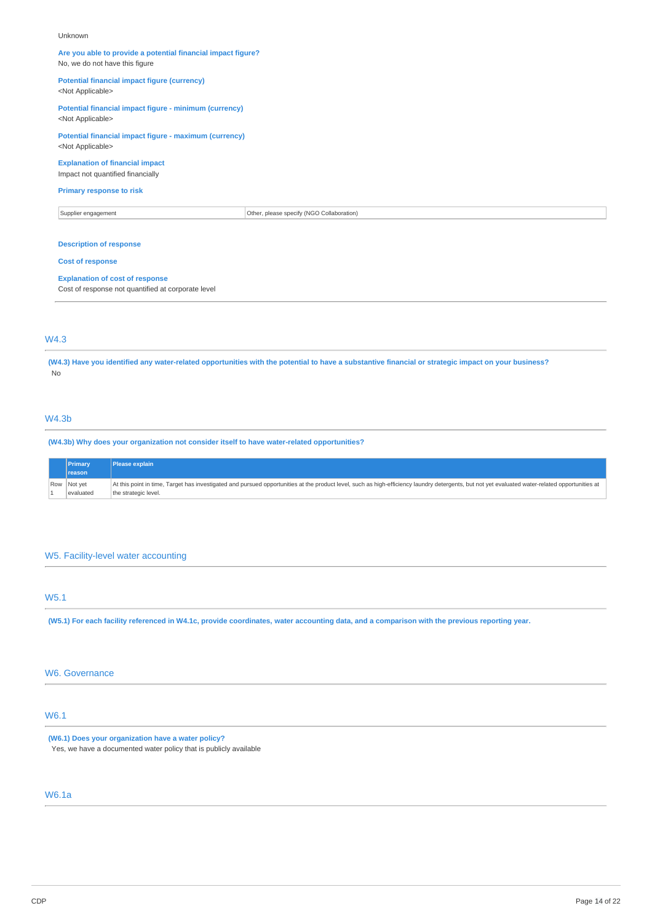#### Unknown

## **Are you able to provide a potential financial impact figure?**  No, we do not have this figure

**Potential financial impact figure (currency)** 

## <Not Applicable>

**Potential financial impact figure - minimum (currency)**  <Not Applicable>

## **Potential financial impact figure - maximum (currency)**  <Not Applicable>

## **Explanation of financial impact**

Impact not quantified financially

#### **Primary response to risk**

Supplier engagement Communication Collaboration Collaboration Collaboration Collaboration

## **Description of response**

#### **Cost of response**

#### **Explanation of cost of response**

Cost of response not quantified at corporate level

## W4.3

**(W4.3) Have you identified any water-related opportunities with the potential to have a substantive financial or strategic impact on your business?**  No

## W4.3b

**(W4.3b) Why does your organization not consider itself to have water-related opportunities?** 

| Primary     | Please explain                                                                                                                                                                                  |
|-------------|-------------------------------------------------------------------------------------------------------------------------------------------------------------------------------------------------|
| reason      |                                                                                                                                                                                                 |
| Row Not yet | At this point in time, Target has investigated and pursued opportunities at the product level, such as high-efficiency laundry detergents, but not yet evaluated water-related opportunities at |
| evaluated   | the strategic level.                                                                                                                                                                            |

## W5. Facility-level water accounting

## W5.1

**(W5.1) For each facility referenced in W4.1c, provide coordinates, water accounting data, and a comparison with the previous reporting year.** 

## W6. Governance

## W6.1

**(W6.1) Does your organization have a water policy?**  Yes, we have a documented water policy that is publicly available

## W6.1a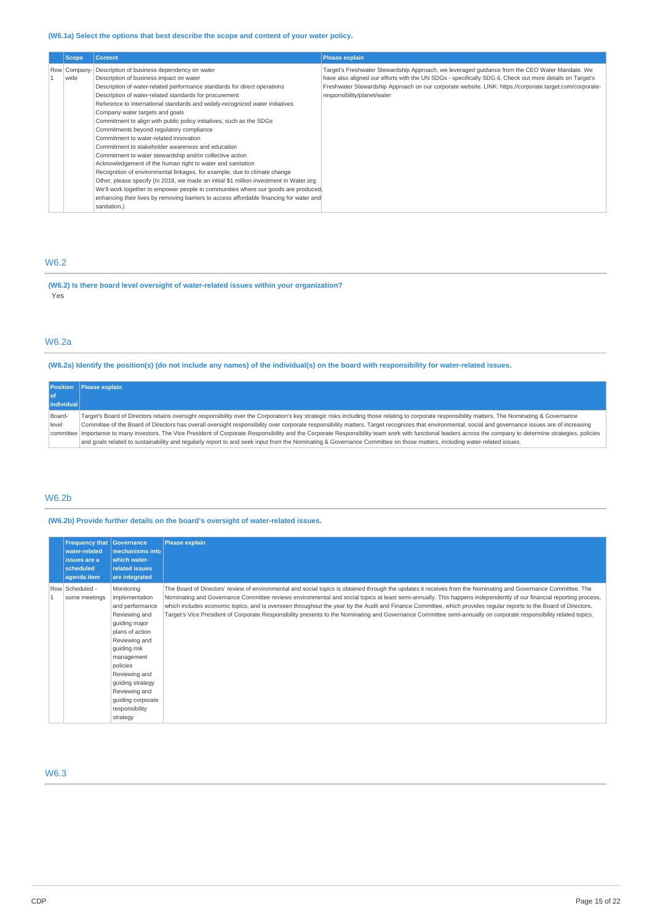| <b>Scope</b> | <b>Content</b>                                                                          | <b>Please explain</b>                                                                                   |
|--------------|-----------------------------------------------------------------------------------------|---------------------------------------------------------------------------------------------------------|
| Row Company- | Description of business dependency on water                                             | Target's Freshwater Stewardship Approach, we leveraged guidance from the CEO Water Mandate. We          |
| wide         | Description of business impact on water                                                 | have also aligned our efforts with the UN SDGs - specifically SDG 6. Check out more details on Target's |
|              | Description of water-related performance standards for direct operations                | Freshwater Stewardship Approach on our corporate website. LINK: https://corporate.target.com/corporate- |
|              | Description of water-related standards for procurement                                  | responsibility/planet/water                                                                             |
|              | Reference to international standards and widely-recognized water initiatives            |                                                                                                         |
|              | Company water targets and goals                                                         |                                                                                                         |
|              | Commitment to align with public policy initiatives, such as the SDGs                    |                                                                                                         |
|              | Commitments beyond regulatory compliance                                                |                                                                                                         |
|              | Commitment to water-related innovation                                                  |                                                                                                         |
|              | Commitment to stakeholder awareness and education                                       |                                                                                                         |
|              | Commitment to water stewardship and/or collective action                                |                                                                                                         |
|              | Acknowledgement of the human right to water and sanitation                              |                                                                                                         |
|              | Recognition of environmental linkages, for example, due to climate change               |                                                                                                         |
|              | Other, please specify (In 2018, we made an initial \$1 million investment in Water.org. |                                                                                                         |
|              | We'll work together to empower people in communities where our goods are produced.      |                                                                                                         |
|              | enhancing their lives by removing barriers to access affordable financing for water and |                                                                                                         |
|              | sanitation.)                                                                            |                                                                                                         |

## W6.2

**(W6.2) Is there board level oversight of water-related issues within your organization?**  Yes

## W6.2a

**(W6.2a) Identify the position(s) (do not include any names) of the individual(s) on the board with responsibility for water-related issues.** 

|            | <b>Position</b> Please explain                                                                                                                                                                                 |
|------------|----------------------------------------------------------------------------------------------------------------------------------------------------------------------------------------------------------------|
|            |                                                                                                                                                                                                                |
| individual |                                                                                                                                                                                                                |
| Board-     | Target's Board of Directors retains oversight responsibility over the Corporation's key strategic risks including those relating to corporate responsibility matters. The Nominating & Governance              |
| level      | Committee of the Board of Directors has overall oversight responsibility over corporate responsibility matters. Target recognizes that environmental, social and governance issues are of increasing           |
|            | committee importance to many investors. The Vice President of Corporate Responsibility and the Corporate Responsibility team work with functional leaders across the company to determine strategies, policies |
|            | and goals related to sustainability and regularly report to and seek input from the Nominating & Governance Committee on those matters, including water-related issues.                                        |

## W6.2b

**(W6.2b) Provide further details on the board's oversight of water-related issues.** 

| <b>Frequency that</b><br>water-related<br>issues are a<br>scheduled<br>agenda item | <b>Governance</b><br>mechanisms into<br>which water-<br>related issues<br>are integrated                                                                                                                                                                                 | <b>Please explain</b>                                                                                                                                                                                                                                                                                                                                                                                                                                                                                                                                                                                                                                                           |
|------------------------------------------------------------------------------------|--------------------------------------------------------------------------------------------------------------------------------------------------------------------------------------------------------------------------------------------------------------------------|---------------------------------------------------------------------------------------------------------------------------------------------------------------------------------------------------------------------------------------------------------------------------------------------------------------------------------------------------------------------------------------------------------------------------------------------------------------------------------------------------------------------------------------------------------------------------------------------------------------------------------------------------------------------------------|
| Row Scheduled -<br>some meetings                                                   | Monitoring<br>implementation<br>and performance<br>Reviewing and<br>guiding major<br>plans of action<br>Reviewing and<br>quiding risk<br>management<br>policies<br>Reviewing and<br>guiding strategy<br>Reviewing and<br>guiding corporate<br>responsibility<br>strategy | The Board of Directors' review of environmental and social topics is obtained through the updates it receives from the Nominating and Governance Committee. The<br>Nominating and Governance Committee reviews environmental and social topics at least semi-annually. This happens independently of our financial reporting process,<br>which includes economic topics, and is overseen throughout the year by the Audit and Finance Committee, which provides regular reports to the Board of Directors.<br>Target's Vice President of Corporate Responsibility presents to the Nominating and Governance Committee semi-annually on corporate responsibility related topics. |

W6.3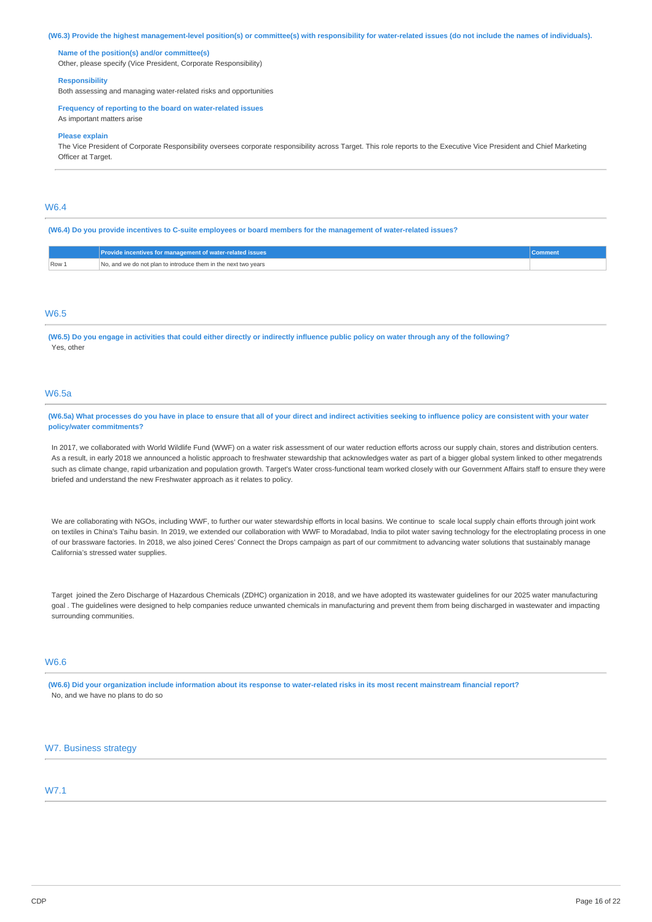**(W6.3) Provide the highest management-level position(s) or committee(s) with responsibility for water-related issues (do not include the names of individuals).** 

#### **Name of the position(s) and/or committee(s)**

Other, please specify (Vice President, Corporate Responsibility)

#### **Responsibility**

Both assessing and managing water-related risks and opportunities

#### **Frequency of reporting to the board on water-related issues**

As important matters arise

#### **Please explain**

The Vice President of Corporate Responsibility oversees corporate responsibility across Target. This role reports to the Executive Vice President and Chief Marketing Officer at Target.

## W6.4

#### **(W6.4) Do you provide incentives to C-suite employees or board members for the management of water-related issues?**

|       | Provide incentives for management of water-related issues     |  |
|-------|---------------------------------------------------------------|--|
| Row 1 | ر, and we do not plan to introduce them in the next two years |  |

## W6.5

**(W6.5) Do you engage in activities that could either directly or indirectly influence public policy on water through any of the following?**  Yes, other

## W6.5a

**(W6.5a) What processes do you have in place to ensure that all of your direct and indirect activities seeking to influence policy are consistent with your water policy/water commitments?** 

In 2017, we collaborated with World Wildlife Fund (WWF) on a water risk assessment of our water reduction efforts across our supply chain, stores and distribution centers. As a result, in early 2018 we announced a holistic approach to freshwater stewardship that acknowledges water as part of a bigger global system linked to other megatrends such as climate change, rapid urbanization and population growth. Target's Water cross-functional team worked closely with our Government Affairs staff to ensure they were briefed and understand the new Freshwater approach as it relates to policy.

We are collaborating with NGOs, including WWF, to further our water stewardship efforts in local basins. We continue to scale local supply chain efforts through joint work on textiles in China's Taihu basin. In 2019, we extended our collaboration with WWF to Moradabad, India to pilot water saving technology for the electroplating process in one of our brassware factories. In 2018, we also joined Ceres' Connect the Drops campaign as part of our commitment to advancing water solutions that sustainably manage California's stressed water supplies.

Target joined the Zero Discharge of Hazardous Chemicals (ZDHC) organization in 2018, and we have adopted its wastewater guidelines for our 2025 water manufacturing goal . The guidelines were designed to help companies reduce unwanted chemicals in manufacturing and prevent them from being discharged in wastewater and impacting surrounding communities.

## W6.6

**(W6.6) Did your organization include information about its response to water-related risks in its most recent mainstream financial report?**  No, and we have no plans to do so

## W7. Business strategy

## W7.1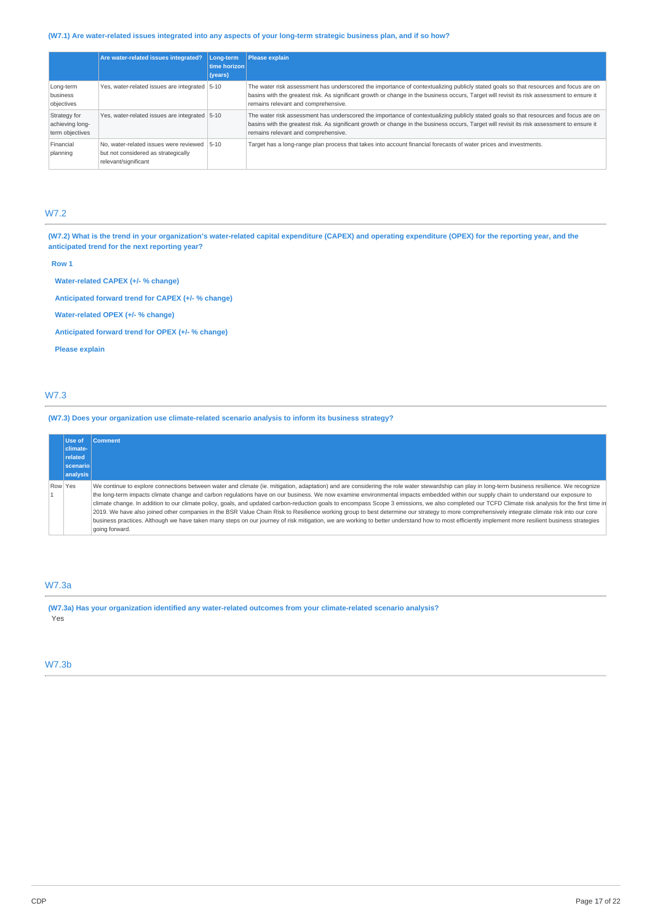## **(W7.1) Are water-related issues integrated into any aspects of your long-term strategic business plan, and if so how?**

|                                                    | Are water-related issues integrated?                                                                  | Long-term<br>time horizon<br>(years) | Please explain                                                                                                                                                                                                                                                                                                             |
|----------------------------------------------------|-------------------------------------------------------------------------------------------------------|--------------------------------------|----------------------------------------------------------------------------------------------------------------------------------------------------------------------------------------------------------------------------------------------------------------------------------------------------------------------------|
| Long-term<br>business<br>objectives                | Yes, water-related issues are integrated 5-10                                                         |                                      | The water risk assessment has underscored the importance of contextualizing publicly stated goals so that resources and focus are on<br>basins with the greatest risk. As significant growth or change in the business occurs, Target will revisit its risk assessment to ensure it<br>remains relevant and comprehensive. |
| Strategy for<br>achieving long-<br>term objectives | Yes, water-related issues are integrated 5-10                                                         |                                      | The water risk assessment has underscored the importance of contextualizing publicly stated goals so that resources and focus are on<br>basins with the greatest risk. As significant growth or change in the business occurs, Target will revisit its risk assessment to ensure it<br>remains relevant and comprehensive. |
| Financial<br>planning                              | No, water-related issues were reviewed<br>but not considered as strategically<br>relevant/significant | $5 - 10$                             | Target has a long-range plan process that takes into account financial forecasts of water prices and investments.                                                                                                                                                                                                          |

## W7.2

**(W7.2) What is the trend in your organization's water-related capital expenditure (CAPEX) and operating expenditure (OPEX) for the reporting year, and the anticipated trend for the next reporting year?** 

**Row 1** 

**Water-related CAPEX (+/- % change)** 

**Anticipated forward trend for CAPEX (+/- % change)** 

**Water-related OPEX (+/- % change)** 

**Anticipated forward trend for OPEX (+/- % change)** 

**Please explain** 

## W7.3

**(W7.3) Does your organization use climate-related scenario analysis to inform its business strategy?** 

|         | Use of          | <b>Comment</b>                                                                                                                                                                                                                                                                                                                                                                                                                                                                                                                                                                                                                                                                                                                                                                                                                                                                                                                                                                                                           |
|---------|-----------------|--------------------------------------------------------------------------------------------------------------------------------------------------------------------------------------------------------------------------------------------------------------------------------------------------------------------------------------------------------------------------------------------------------------------------------------------------------------------------------------------------------------------------------------------------------------------------------------------------------------------------------------------------------------------------------------------------------------------------------------------------------------------------------------------------------------------------------------------------------------------------------------------------------------------------------------------------------------------------------------------------------------------------|
|         | climate-        |                                                                                                                                                                                                                                                                                                                                                                                                                                                                                                                                                                                                                                                                                                                                                                                                                                                                                                                                                                                                                          |
|         | related         |                                                                                                                                                                                                                                                                                                                                                                                                                                                                                                                                                                                                                                                                                                                                                                                                                                                                                                                                                                                                                          |
|         | <b>scenario</b> |                                                                                                                                                                                                                                                                                                                                                                                                                                                                                                                                                                                                                                                                                                                                                                                                                                                                                                                                                                                                                          |
|         | analysis        |                                                                                                                                                                                                                                                                                                                                                                                                                                                                                                                                                                                                                                                                                                                                                                                                                                                                                                                                                                                                                          |
| Row Yes |                 | We continue to explore connections between water and climate (ie. mitigation, adaptation) and are considering the role water stewardship can play in long-term business resilience. We recognize<br>the long-term impacts climate change and carbon regulations have on our business. We now examine environmental impacts embedded within our supply chain to understand our exposure to<br>climate change. In addition to our climate policy, goals, and updated carbon-reduction goals to encompass Scope 3 emissions, we also completed our TCFD Climate risk analysis for the first time in<br>2019. We have also joined other companies in the BSR Value Chain Risk to Resilience working group to best determine our strategy to more comprehensively integrate climate risk into our core<br>business practices. Although we have taken many steps on our journey of risk mitigation, we are working to better understand how to most efficiently implement more resilient business strategies<br>going forward. |

## W7.3a

**(W7.3a) Has your organization identified any water-related outcomes from your climate-related scenario analysis?**  Yes

## W7.3b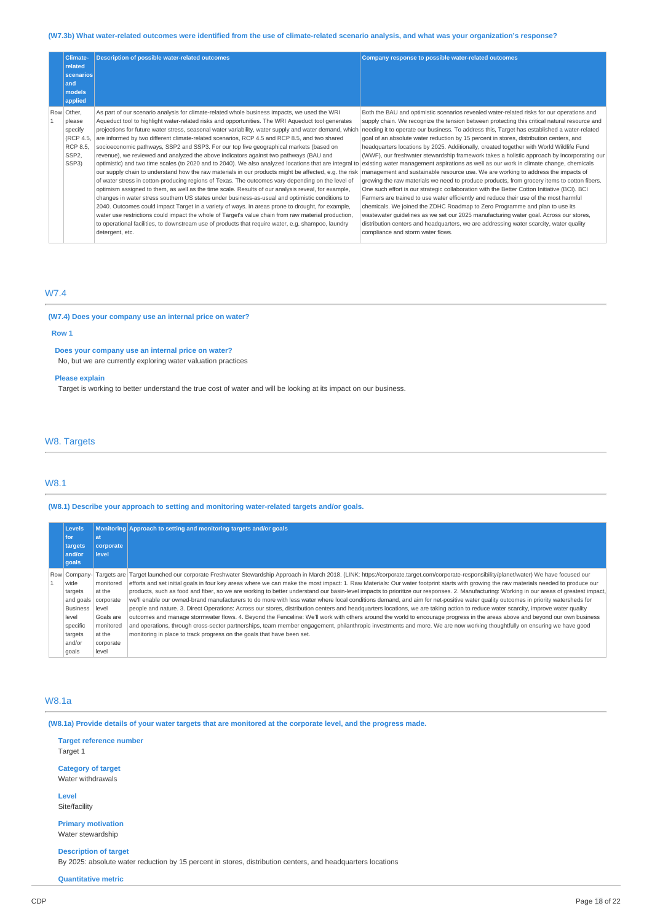## **(W7.3b) What water-related outcomes were identified from the use of climate-related scenario analysis, and what was your organization's response?**

| <b>Climate-</b><br>related<br>scenarios<br>and<br>models<br>applied                   | <b>Description of possible water-related outcomes</b>                                                                                                                                                                                                                                                                                                                                                                                                                                                                                                                                                                                                                                                                                                                                                                                                                                                                                                                                                                                                                                                                                                                                                                                                                                                                                                                                                                                                                                                                                                                                                                                         | Company response to possible water-related outcomes                                                                                                                                                                                                                                                                                                                                                                                                                                                                                                                                                                                                                                                                                                                                                                                                                                                                                                                                                                                                                                                                                                                       |
|---------------------------------------------------------------------------------------|-----------------------------------------------------------------------------------------------------------------------------------------------------------------------------------------------------------------------------------------------------------------------------------------------------------------------------------------------------------------------------------------------------------------------------------------------------------------------------------------------------------------------------------------------------------------------------------------------------------------------------------------------------------------------------------------------------------------------------------------------------------------------------------------------------------------------------------------------------------------------------------------------------------------------------------------------------------------------------------------------------------------------------------------------------------------------------------------------------------------------------------------------------------------------------------------------------------------------------------------------------------------------------------------------------------------------------------------------------------------------------------------------------------------------------------------------------------------------------------------------------------------------------------------------------------------------------------------------------------------------------------------------|---------------------------------------------------------------------------------------------------------------------------------------------------------------------------------------------------------------------------------------------------------------------------------------------------------------------------------------------------------------------------------------------------------------------------------------------------------------------------------------------------------------------------------------------------------------------------------------------------------------------------------------------------------------------------------------------------------------------------------------------------------------------------------------------------------------------------------------------------------------------------------------------------------------------------------------------------------------------------------------------------------------------------------------------------------------------------------------------------------------------------------------------------------------------------|
| Row Other,<br>please<br>specify<br>(RCP 4.5,<br>RCP 8.5.<br>SSP <sub>2</sub><br>SSP3) | As part of our scenario analysis for climate-related whole business impacts, we used the WRI<br>Aqueduct tool to highlight water-related risks and opportunities. The WRI Aqueduct tool generates<br>projections for future water stress, seasonal water variability, water supply and water demand, which<br>are informed by two different climate-related scenarios, RCP 4.5 and RCP 8.5, and two shared<br>socioeconomic pathways, SSP2 and SSP3. For our top five geographical markets (based on<br>revenue), we reviewed and analyzed the above indicators against two pathways (BAU and<br>optimistic) and two time scales (to 2020 and to 2040). We also analyzed locations that are integral to existing water management aspirations as well as our work in climate change, chemicals<br>our supply chain to understand how the raw materials in our products might be affected, e.g. the risk   management and sustainable resource use. We are working to address the impacts of<br>of water stress in cotton-producing regions of Texas. The outcomes vary depending on the level of<br>optimism assigned to them, as well as the time scale. Results of our analysis reveal, for example,<br>changes in water stress southern US states under business-as-usual and optimistic conditions to<br>2040. Outcomes could impact Target in a variety of ways. In areas prone to drought, for example,<br>water use restrictions could impact the whole of Target's value chain from raw material production,<br>to operational facilities, to downstream use of products that require water, e.g. shampoo, laundry<br>detergent, etc. | Both the BAU and optimistic scenarios revealed water-related risks for our operations and<br>supply chain. We recognize the tension between protecting this critical natural resource and<br>needing it to operate our business. To address this, Target has established a water-related<br>goal of an absolute water reduction by 15 percent in stores, distribution centers, and<br>headquarters locations by 2025. Additionally, created together with World Wildlife Fund<br>(WWF), our freshwater stewardship framework takes a holistic approach by incorporating our<br>growing the raw materials we need to produce products, from grocery items to cotton fibers.<br>One such effort is our strategic collaboration with the Better Cotton Initiative (BCI). BCI<br>Farmers are trained to use water efficiently and reduce their use of the most harmful<br>chemicals. We joined the ZDHC Roadmap to Zero Programme and plan to use its<br>wastewater guidelines as we set our 2025 manufacturing water goal. Across our stores,<br>distribution centers and headquarters, we are addressing water scarcity, water quality<br>compliance and storm water flows. |

## W7.4

## **(W7.4) Does your company use an internal price on water?**

#### **Row 1**

**Does your company use an internal price on water?** 

No, but we are currently exploring water valuation practices

## **Please explain**

Target is working to better understand the true cost of water and will be looking at its impact on our business.

## W8. Targets

## W8.1

**(W8.1) Describe your approach to setting and monitoring water-related targets and/or goals.** 

| Levels<br>l for<br>targets<br>and/or<br>goals | lat<br>corporate<br>level | Monitoring Approach to setting and monitoring targets and/or goals                                                                                                                       |
|-----------------------------------------------|---------------------------|------------------------------------------------------------------------------------------------------------------------------------------------------------------------------------------|
| Row Company-                                  |                           | Targets are Target launched our corporate Freshwater Stewardship Approach in March 2018. (LINK: https://corporate.target.com/corporate-responsibility/planet/water) We have focused our  |
| wide                                          | monitored                 | efforts and set initial goals in four key areas where we can make the most impact: 1. Raw Materials: Our water footprint starts with growing the raw materials needed to produce our     |
| targets                                       | at the                    | products, such as food and fiber, so we are working to better understand our basin-level impacts to prioritize our responses. 2. Manufacturing: Working in our areas of greatest impact, |
| and goals                                     | corporate                 | we'll enable our owned-brand manufacturers to do more with less water where local conditions demand, and aim for net-positive water quality outcomes in priority watersheds for          |
| <b>Business</b>                               | level                     | people and nature. 3. Direct Operations: Across our stores, distribution centers and headquarters locations, we are taking action to reduce water scarcity, improve water quality        |
| level                                         | Goals are                 | outcomes and manage stormwater flows. 4. Beyond the Fenceline: We'll work with others around the world to encourage progress in the areas above and beyond our own business              |
| specific                                      | monitored                 | and operations, through cross-sector partnerships, team member engagement, philanthropic investments and more. We are now working thoughtfully on ensuring we have good                  |
| targets                                       | at the                    | monitoring in place to track progress on the goals that have been set.                                                                                                                   |
| and/or                                        | corporate                 |                                                                                                                                                                                          |
| goals                                         | level                     |                                                                                                                                                                                          |

## W8.1a

**(W8.1a) Provide details of your water targets that are monitored at the corporate level, and the progress made.** 

**Target reference number**  Target 1

**Category of target**  Water withdrawals

**Level**  Site/facility

**Primary motivation**  Water stewardship

**Description of target** 

By 2025: absolute water reduction by 15 percent in stores, distribution centers, and headquarters locations

## **Quantitative metric**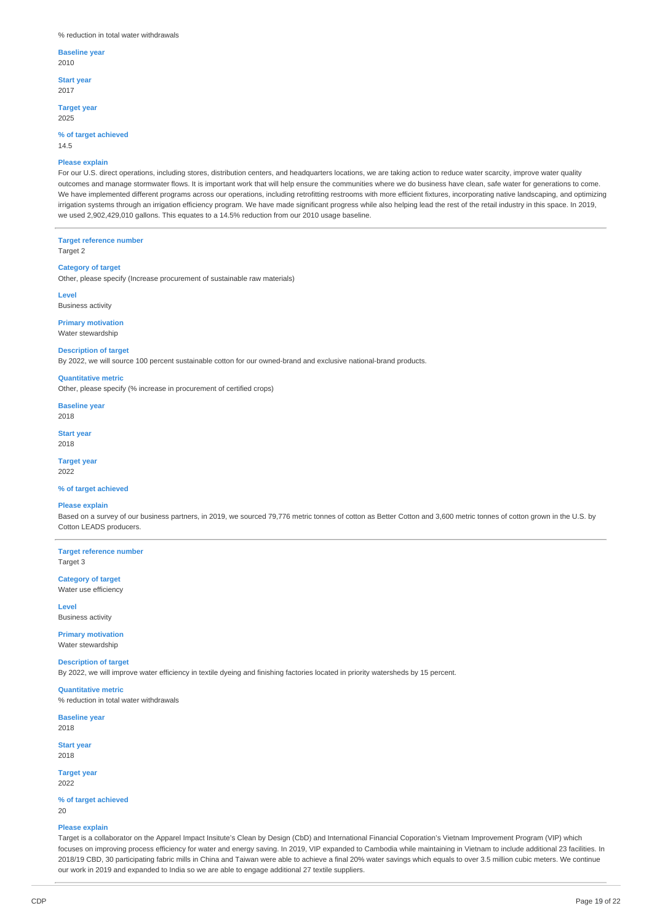#### % reduction in total water withdrawals

## **Baseline year**

2010

**Start year**  2017

## **Target year**

2025

#### **% of target achieved**  14.5

#### **Please explain**

For our U.S. direct operations, including stores, distribution centers, and headquarters locations, we are taking action to reduce water scarcity, improve water quality outcomes and manage stormwater flows. It is important work that will help ensure the communities where we do business have clean, safe water for generations to come. We have implemented different programs across our operations, including retrofitting restrooms with more efficient fixtures, incorporating native landscaping, and optimizing irrigation systems through an irrigation efficiency program. We have made significant progress while also helping lead the rest of the retail industry in this space. In 2019, we used 2,902,429,010 gallons. This equates to a 14.5% reduction from our 2010 usage baseline.

**Target reference number**  Target 2

## **Category of target**

Other, please specify (Increase procurement of sustainable raw materials)

## **Level**

Business activity

**Primary motivation**  Water stewardship

#### **Description of target**

By 2022, we will source 100 percent sustainable cotton for our owned-brand and exclusive national-brand products.

## **Quantitative metric**

Other, please specify (% increase in procurement of certified crops)

**Baseline year**  2018

**Start year**  2018

#### **Target year**  2022

#### **% of target achieved**

#### **Please explain**

Based on a survey of our business partners, in 2019, we sourced 79,776 metric tonnes of cotton as Better Cotton and 3,600 metric tonnes of cotton grown in the U.S. by Cotton LEADS producers.

**Target reference number**  Target 3

## **Category of target**  Water use efficiency

**Level**  Business activity

**Primary motivation**  Water stewardship

## **Description of target**  By 2022, we will improve water efficiency in textile dyeing and finishing factories located in priority watersheds by 15 percent.

**Quantitative metric**  % reduction in total water withdrawals

**Baseline year**  2018

**Start year**  2018

**Target year**  2022

#### **% of target achieved**  20

#### **Please explain**

Target is a collaborator on the Apparel Impact Insitute's Clean by Design (CbD) and International Financial Coporation's Vietnam Improvement Program (VIP) which focuses on improving process efficiency for water and energy saving. In 2019, VIP expanded to Cambodia while maintaining in Vietnam to include additional 23 facilities. In 2018/19 CBD, 30 participating fabric mills in China and Taiwan were able to achieve a final 20% water savings which equals to over 3.5 million cubic meters. We continue our work in 2019 and expanded to India so we are able to engage additional 27 textile suppliers.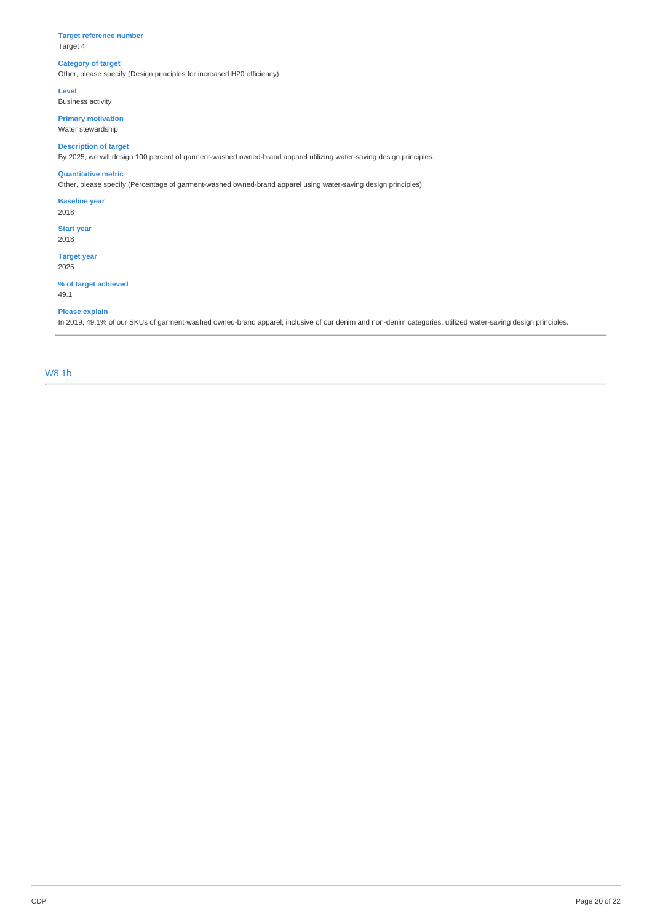## **Target reference number**  Target 4

## **Category of target**

Other, please specify (Design principles for increased H20 efficiency)

**Level** 

Business activity

**Primary motivation**  Water stewardship

## **Description of target**

By 2025, we will design 100 percent of garment-washed owned-brand apparel utilizing water-saving design principles.

## **Quantitative metric**

Other, please specify (Percentage of garment-washed owned-brand apparel using water-saving design principles)

**Baseline year** 

2018

**Start year**  2018

**Target year**  2025

## **% of target achieved**

49.1

## **Please explain**

In 2019, 49.1% of our SKUs of garment-washed owned-brand apparel, inclusive of our denim and non-denim categories, utilized water-saving design principles.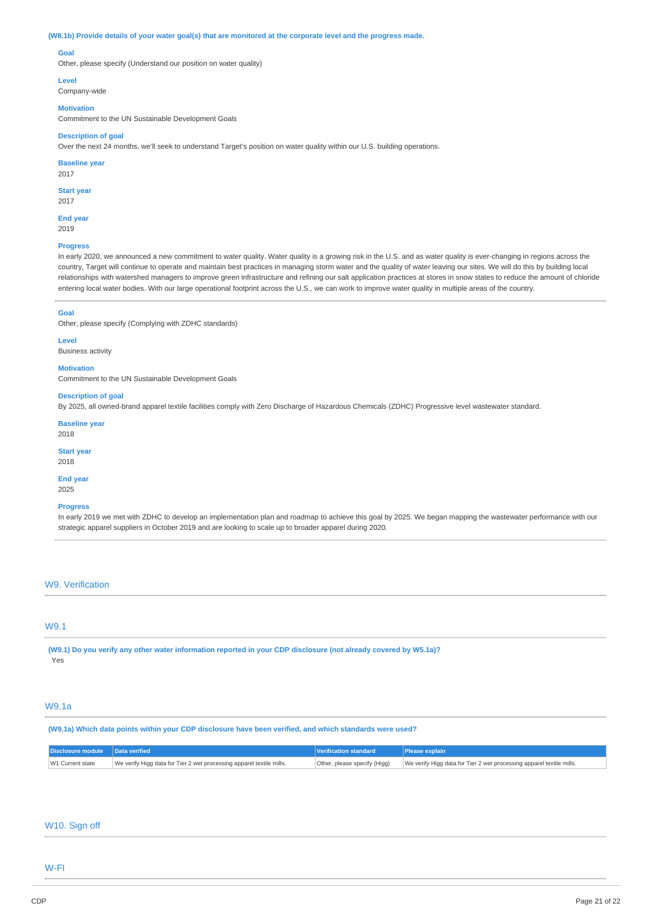#### **(W8.1b) Provide details of your water goal(s) that are monitored at the corporate level and the progress made.**

## **Goal**

Other, please specify (Understand our position on water quality)

#### **Level**

Company-wide

#### **Motivation**

Commitment to the UN Sustainable Development Goals

#### **Description of goal**

Over the next 24 months, we'll seek to understand Target's position on water quality within our U.S. building operations.

## **Baseline year**

2017

## **Start year**

2017

**End year**  2019

## **Progress**

In early 2020, we announced a new commitment to water quality. Water quality is a growing risk in the U.S. and as water quality is ever-changing in regions across the country, Target will continue to operate and maintain best practices in managing storm water and the quality of water leaving our sites. We will do this by building local relationships with watershed managers to improve green infrastructure and refining our salt application practices at stores in snow states to reduce the amount of chloride entering local water bodies. With our large operational footprint across the U.S., we can work to improve water quality in multiple areas of the country.

#### **Goal**

Other, please specify (Complying with ZDHC standards)

#### **Level**

**Business activity** 

## **Motivation**

Commitment to the UN Sustainable Development Goals

#### **Description of goal**

By 2025, all owned-brand apparel textile facilities comply with Zero Discharge of Hazardous Chemicals (ZDHC) Progressive level wastewater standard.

**Baseline year**  2018

**Start year** 

2018

#### **End year**  2025

#### **Progress**

In early 2019 we met with ZDHC to develop an implementation plan and roadmap to achieve this goal by 2025. We began mapping the wastewater performance with our strategic apparel suppliers in October 2019 and are looking to scale up to broader apparel during 2020.

## W9. Verification

## W9.1

**(W9.1) Do you verify any other water information reported in your CDP disclosure (not already covered by W5.1a)?**  Yes

## W9.1a

**(W9.1a) Which data points within your CDP disclosure have been verified, and which standards were used?** 

| Disclosure module   Data verified |                                                                      | Verification standard | <b>IPlease explain</b>                                                                            |
|-----------------------------------|----------------------------------------------------------------------|-----------------------|---------------------------------------------------------------------------------------------------|
| W1 Current state                  | We verify Higg data for Tier 2 wet processing apparel textile mills. |                       | Other, please specify (Higg) Ve verify Higg data for Tier 2 wet processing apparel textile mills. |

## W10. Sign off

## W-FI